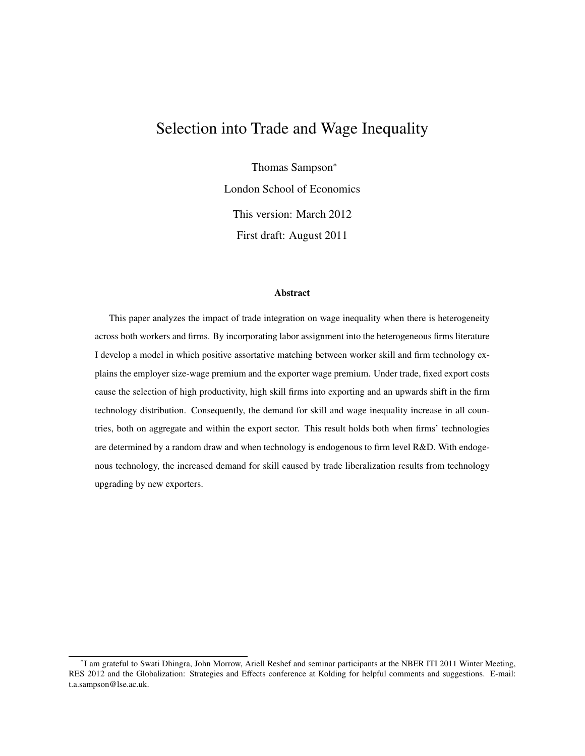# Selection into Trade and Wage Inequality

Thomas Sampson<sup>∗</sup>

London School of Economics

This version: March 2012 First draft: August 2011

#### Abstract

This paper analyzes the impact of trade integration on wage inequality when there is heterogeneity across both workers and firms. By incorporating labor assignment into the heterogeneous firms literature I develop a model in which positive assortative matching between worker skill and firm technology explains the employer size-wage premium and the exporter wage premium. Under trade, fixed export costs cause the selection of high productivity, high skill firms into exporting and an upwards shift in the firm technology distribution. Consequently, the demand for skill and wage inequality increase in all countries, both on aggregate and within the export sector. This result holds both when firms' technologies are determined by a random draw and when technology is endogenous to firm level R&D. With endogenous technology, the increased demand for skill caused by trade liberalization results from technology upgrading by new exporters.

<sup>∗</sup> I am grateful to Swati Dhingra, John Morrow, Ariell Reshef and seminar participants at the NBER ITI 2011 Winter Meeting, RES 2012 and the Globalization: Strategies and Effects conference at Kolding for helpful comments and suggestions. E-mail: t.a.sampson@lse.ac.uk.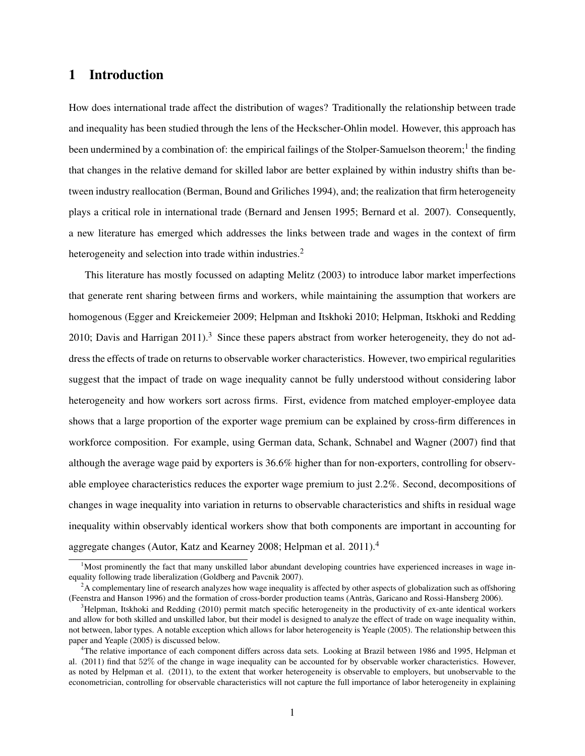## 1 Introduction

How does international trade affect the distribution of wages? Traditionally the relationship between trade and inequality has been studied through the lens of the Heckscher-Ohlin model. However, this approach has been undermined by a combination of: the empirical failings of the Stolper-Samuelson theorem;<sup>1</sup> the finding that changes in the relative demand for skilled labor are better explained by within industry shifts than between industry reallocation (Berman, Bound and Griliches 1994), and; the realization that firm heterogeneity plays a critical role in international trade (Bernard and Jensen 1995; Bernard et al. 2007). Consequently, a new literature has emerged which addresses the links between trade and wages in the context of firm heterogeneity and selection into trade within industries.<sup>2</sup>

This literature has mostly focussed on adapting Melitz (2003) to introduce labor market imperfections that generate rent sharing between firms and workers, while maintaining the assumption that workers are homogenous (Egger and Kreickemeier 2009; Helpman and Itskhoki 2010; Helpman, Itskhoki and Redding 2010; Davis and Harrigan  $2011$ ).<sup>3</sup> Since these papers abstract from worker heterogeneity, they do not address the effects of trade on returns to observable worker characteristics. However, two empirical regularities suggest that the impact of trade on wage inequality cannot be fully understood without considering labor heterogeneity and how workers sort across firms. First, evidence from matched employer-employee data shows that a large proportion of the exporter wage premium can be explained by cross-firm differences in workforce composition. For example, using German data, Schank, Schnabel and Wagner (2007) find that although the average wage paid by exporters is 36.6% higher than for non-exporters, controlling for observable employee characteristics reduces the exporter wage premium to just 2.2%. Second, decompositions of changes in wage inequality into variation in returns to observable characteristics and shifts in residual wage inequality within observably identical workers show that both components are important in accounting for aggregate changes (Autor, Katz and Kearney 2008; Helpman et al. 2011).<sup>4</sup>

<sup>&</sup>lt;sup>1</sup>Most prominently the fact that many unskilled labor abundant developing countries have experienced increases in wage inequality following trade liberalization (Goldberg and Pavcnik 2007).

<sup>&</sup>lt;sup>2</sup>A complementary line of research analyzes how wage inequality is affected by other aspects of globalization such as offshoring (Feenstra and Hanson 1996) and the formation of cross-border production teams (Antras, Garicano and Rossi-Hansberg 2006). `

 $3$ Helpman, Itskhoki and Redding (2010) permit match specific heterogeneity in the productivity of ex-ante identical workers and allow for both skilled and unskilled labor, but their model is designed to analyze the effect of trade on wage inequality within, not between, labor types. A notable exception which allows for labor heterogeneity is Yeaple (2005). The relationship between this paper and Yeaple (2005) is discussed below.

<sup>&</sup>lt;sup>4</sup>The relative importance of each component differs across data sets. Looking at Brazil between 1986 and 1995, Helpman et al. (2011) find that 52% of the change in wage inequality can be accounted for by observable worker characteristics. However, as noted by Helpman et al. (2011), to the extent that worker heterogeneity is observable to employers, but unobservable to the econometrician, controlling for observable characteristics will not capture the full importance of labor heterogeneity in explaining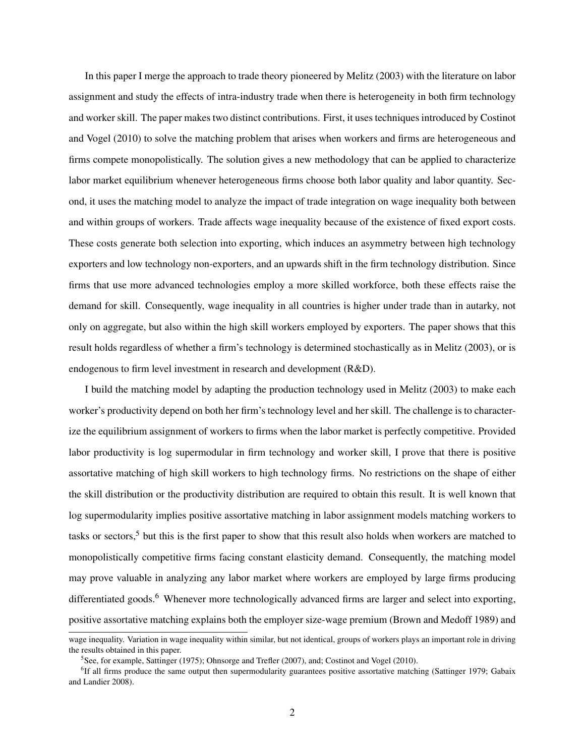In this paper I merge the approach to trade theory pioneered by Melitz (2003) with the literature on labor assignment and study the effects of intra-industry trade when there is heterogeneity in both firm technology and worker skill. The paper makes two distinct contributions. First, it uses techniques introduced by Costinot and Vogel (2010) to solve the matching problem that arises when workers and firms are heterogeneous and firms compete monopolistically. The solution gives a new methodology that can be applied to characterize labor market equilibrium whenever heterogeneous firms choose both labor quality and labor quantity. Second, it uses the matching model to analyze the impact of trade integration on wage inequality both between and within groups of workers. Trade affects wage inequality because of the existence of fixed export costs. These costs generate both selection into exporting, which induces an asymmetry between high technology exporters and low technology non-exporters, and an upwards shift in the firm technology distribution. Since firms that use more advanced technologies employ a more skilled workforce, both these effects raise the demand for skill. Consequently, wage inequality in all countries is higher under trade than in autarky, not only on aggregate, but also within the high skill workers employed by exporters. The paper shows that this result holds regardless of whether a firm's technology is determined stochastically as in Melitz (2003), or is endogenous to firm level investment in research and development (R&D).

I build the matching model by adapting the production technology used in Melitz (2003) to make each worker's productivity depend on both her firm's technology level and her skill. The challenge is to characterize the equilibrium assignment of workers to firms when the labor market is perfectly competitive. Provided labor productivity is log supermodular in firm technology and worker skill, I prove that there is positive assortative matching of high skill workers to high technology firms. No restrictions on the shape of either the skill distribution or the productivity distribution are required to obtain this result. It is well known that log supermodularity implies positive assortative matching in labor assignment models matching workers to tasks or sectors,<sup>5</sup> but this is the first paper to show that this result also holds when workers are matched to monopolistically competitive firms facing constant elasticity demand. Consequently, the matching model may prove valuable in analyzing any labor market where workers are employed by large firms producing differentiated goods.<sup>6</sup> Whenever more technologically advanced firms are larger and select into exporting, positive assortative matching explains both the employer size-wage premium (Brown and Medoff 1989) and

wage inequality. Variation in wage inequality within similar, but not identical, groups of workers plays an important role in driving the results obtained in this paper.

<sup>&</sup>lt;sup>5</sup> See, for example, Sattinger (1975); Ohnsorge and Trefler (2007), and; Costinot and Vogel (2010).

<sup>&</sup>lt;sup>6</sup>If all firms produce the same output then supermodularity guarantees positive assortative matching (Sattinger 1979; Gabaix and Landier 2008).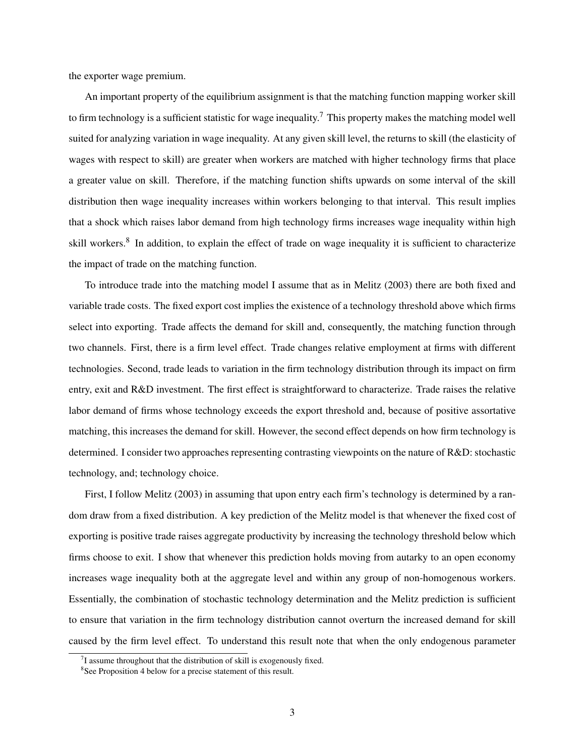the exporter wage premium.

An important property of the equilibrium assignment is that the matching function mapping worker skill to firm technology is a sufficient statistic for wage inequality.<sup>7</sup> This property makes the matching model well suited for analyzing variation in wage inequality. At any given skill level, the returns to skill (the elasticity of wages with respect to skill) are greater when workers are matched with higher technology firms that place a greater value on skill. Therefore, if the matching function shifts upwards on some interval of the skill distribution then wage inequality increases within workers belonging to that interval. This result implies that a shock which raises labor demand from high technology firms increases wage inequality within high skill workers.<sup>8</sup> In addition, to explain the effect of trade on wage inequality it is sufficient to characterize the impact of trade on the matching function.

To introduce trade into the matching model I assume that as in Melitz (2003) there are both fixed and variable trade costs. The fixed export cost implies the existence of a technology threshold above which firms select into exporting. Trade affects the demand for skill and, consequently, the matching function through two channels. First, there is a firm level effect. Trade changes relative employment at firms with different technologies. Second, trade leads to variation in the firm technology distribution through its impact on firm entry, exit and R&D investment. The first effect is straightforward to characterize. Trade raises the relative labor demand of firms whose technology exceeds the export threshold and, because of positive assortative matching, this increases the demand for skill. However, the second effect depends on how firm technology is determined. I consider two approaches representing contrasting viewpoints on the nature of R&D: stochastic technology, and; technology choice.

First, I follow Melitz (2003) in assuming that upon entry each firm's technology is determined by a random draw from a fixed distribution. A key prediction of the Melitz model is that whenever the fixed cost of exporting is positive trade raises aggregate productivity by increasing the technology threshold below which firms choose to exit. I show that whenever this prediction holds moving from autarky to an open economy increases wage inequality both at the aggregate level and within any group of non-homogenous workers. Essentially, the combination of stochastic technology determination and the Melitz prediction is sufficient to ensure that variation in the firm technology distribution cannot overturn the increased demand for skill caused by the firm level effect. To understand this result note that when the only endogenous parameter

 $7$ I assume throughout that the distribution of skill is exogenously fixed.

<sup>&</sup>lt;sup>8</sup>See Proposition 4 below for a precise statement of this result.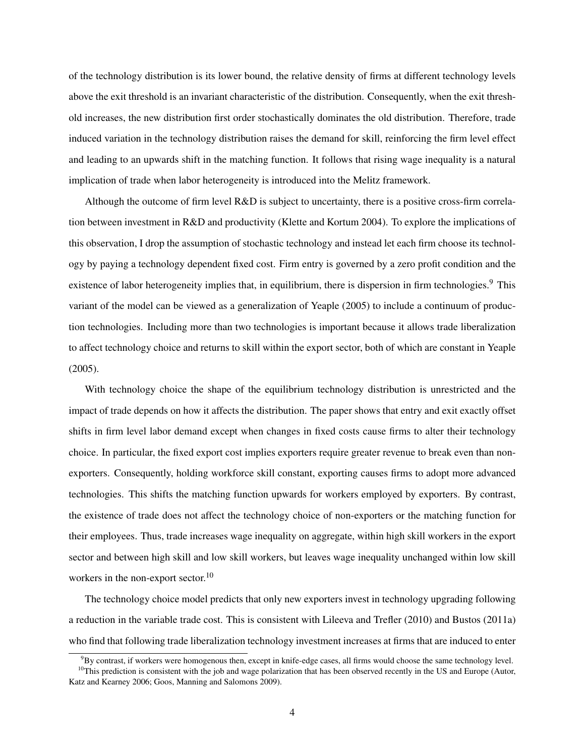of the technology distribution is its lower bound, the relative density of firms at different technology levels above the exit threshold is an invariant characteristic of the distribution. Consequently, when the exit threshold increases, the new distribution first order stochastically dominates the old distribution. Therefore, trade induced variation in the technology distribution raises the demand for skill, reinforcing the firm level effect and leading to an upwards shift in the matching function. It follows that rising wage inequality is a natural implication of trade when labor heterogeneity is introduced into the Melitz framework.

Although the outcome of firm level R&D is subject to uncertainty, there is a positive cross-firm correlation between investment in R&D and productivity (Klette and Kortum 2004). To explore the implications of this observation, I drop the assumption of stochastic technology and instead let each firm choose its technology by paying a technology dependent fixed cost. Firm entry is governed by a zero profit condition and the existence of labor heterogeneity implies that, in equilibrium, there is dispersion in firm technologies.<sup>9</sup> This variant of the model can be viewed as a generalization of Yeaple (2005) to include a continuum of production technologies. Including more than two technologies is important because it allows trade liberalization to affect technology choice and returns to skill within the export sector, both of which are constant in Yeaple (2005).

With technology choice the shape of the equilibrium technology distribution is unrestricted and the impact of trade depends on how it affects the distribution. The paper shows that entry and exit exactly offset shifts in firm level labor demand except when changes in fixed costs cause firms to alter their technology choice. In particular, the fixed export cost implies exporters require greater revenue to break even than nonexporters. Consequently, holding workforce skill constant, exporting causes firms to adopt more advanced technologies. This shifts the matching function upwards for workers employed by exporters. By contrast, the existence of trade does not affect the technology choice of non-exporters or the matching function for their employees. Thus, trade increases wage inequality on aggregate, within high skill workers in the export sector and between high skill and low skill workers, but leaves wage inequality unchanged within low skill workers in the non-export sector.<sup>10</sup>

The technology choice model predicts that only new exporters invest in technology upgrading following a reduction in the variable trade cost. This is consistent with Lileeva and Trefler (2010) and Bustos (2011a) who find that following trade liberalization technology investment increases at firms that are induced to enter

 $9By$  contrast, if workers were homogenous then, except in knife-edge cases, all firms would choose the same technology level.

 $10$ This prediction is consistent with the job and wage polarization that has been observed recently in the US and Europe (Autor, Katz and Kearney 2006; Goos, Manning and Salomons 2009).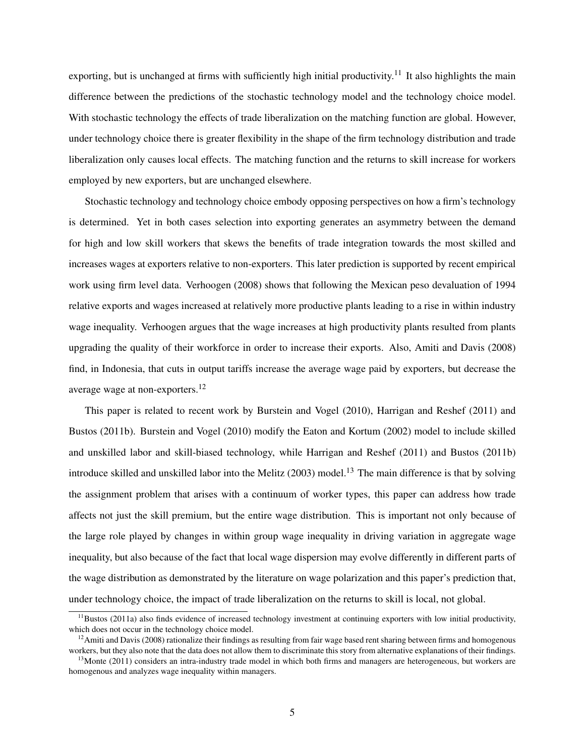exporting, but is unchanged at firms with sufficiently high initial productivity.<sup>11</sup> It also highlights the main difference between the predictions of the stochastic technology model and the technology choice model. With stochastic technology the effects of trade liberalization on the matching function are global. However, under technology choice there is greater flexibility in the shape of the firm technology distribution and trade liberalization only causes local effects. The matching function and the returns to skill increase for workers employed by new exporters, but are unchanged elsewhere.

Stochastic technology and technology choice embody opposing perspectives on how a firm's technology is determined. Yet in both cases selection into exporting generates an asymmetry between the demand for high and low skill workers that skews the benefits of trade integration towards the most skilled and increases wages at exporters relative to non-exporters. This later prediction is supported by recent empirical work using firm level data. Verhoogen (2008) shows that following the Mexican peso devaluation of 1994 relative exports and wages increased at relatively more productive plants leading to a rise in within industry wage inequality. Verhoogen argues that the wage increases at high productivity plants resulted from plants upgrading the quality of their workforce in order to increase their exports. Also, Amiti and Davis (2008) find, in Indonesia, that cuts in output tariffs increase the average wage paid by exporters, but decrease the average wage at non-exporters.<sup>12</sup>

This paper is related to recent work by Burstein and Vogel (2010), Harrigan and Reshef (2011) and Bustos (2011b). Burstein and Vogel (2010) modify the Eaton and Kortum (2002) model to include skilled and unskilled labor and skill-biased technology, while Harrigan and Reshef (2011) and Bustos (2011b) introduce skilled and unskilled labor into the Melitz  $(2003)$  model.<sup>13</sup> The main difference is that by solving the assignment problem that arises with a continuum of worker types, this paper can address how trade affects not just the skill premium, but the entire wage distribution. This is important not only because of the large role played by changes in within group wage inequality in driving variation in aggregate wage inequality, but also because of the fact that local wage dispersion may evolve differently in different parts of the wage distribution as demonstrated by the literature on wage polarization and this paper's prediction that, under technology choice, the impact of trade liberalization on the returns to skill is local, not global.

 $11$ Bustos (2011a) also finds evidence of increased technology investment at continuing exporters with low initial productivity, which does not occur in the technology choice model.

 $12$ Amiti and Davis (2008) rationalize their findings as resulting from fair wage based rent sharing between firms and homogenous workers, but they also note that the data does not allow them to discriminate this story from alternative explanations of their findings.

 $13$ Monte (2011) considers an intra-industry trade model in which both firms and managers are heterogeneous, but workers are homogenous and analyzes wage inequality within managers.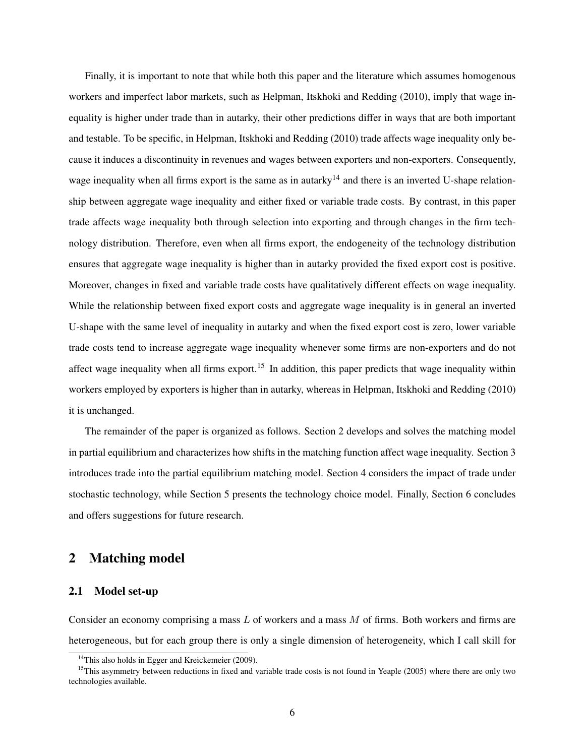Finally, it is important to note that while both this paper and the literature which assumes homogenous workers and imperfect labor markets, such as Helpman, Itskhoki and Redding (2010), imply that wage inequality is higher under trade than in autarky, their other predictions differ in ways that are both important and testable. To be specific, in Helpman, Itskhoki and Redding (2010) trade affects wage inequality only because it induces a discontinuity in revenues and wages between exporters and non-exporters. Consequently, wage inequality when all firms export is the same as in autarky<sup>14</sup> and there is an inverted U-shape relationship between aggregate wage inequality and either fixed or variable trade costs. By contrast, in this paper trade affects wage inequality both through selection into exporting and through changes in the firm technology distribution. Therefore, even when all firms export, the endogeneity of the technology distribution ensures that aggregate wage inequality is higher than in autarky provided the fixed export cost is positive. Moreover, changes in fixed and variable trade costs have qualitatively different effects on wage inequality. While the relationship between fixed export costs and aggregate wage inequality is in general an inverted U-shape with the same level of inequality in autarky and when the fixed export cost is zero, lower variable trade costs tend to increase aggregate wage inequality whenever some firms are non-exporters and do not affect wage inequality when all firms export.<sup>15</sup> In addition, this paper predicts that wage inequality within workers employed by exporters is higher than in autarky, whereas in Helpman, Itskhoki and Redding (2010) it is unchanged.

The remainder of the paper is organized as follows. Section 2 develops and solves the matching model in partial equilibrium and characterizes how shifts in the matching function affect wage inequality. Section 3 introduces trade into the partial equilibrium matching model. Section 4 considers the impact of trade under stochastic technology, while Section 5 presents the technology choice model. Finally, Section 6 concludes and offers suggestions for future research.

# 2 Matching model

### 2.1 Model set-up

Consider an economy comprising a mass  $L$  of workers and a mass  $M$  of firms. Both workers and firms are heterogeneous, but for each group there is only a single dimension of heterogeneity, which I call skill for

 $14$ This also holds in Egger and Kreickemeier (2009).

<sup>&</sup>lt;sup>15</sup>This asymmetry between reductions in fixed and variable trade costs is not found in Yeaple (2005) where there are only two technologies available.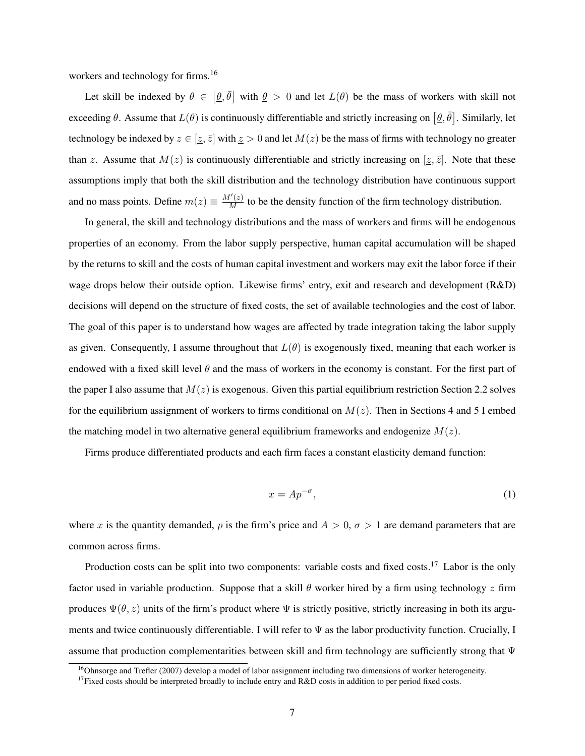workers and technology for firms.<sup>16</sup>

Let skill be indexed by  $\theta \in [\theta, \bar{\theta}]$  with  $\theta > 0$  and let  $L(\theta)$  be the mass of workers with skill not exceeding  $\theta$ . Assume that  $L(\theta)$  is continuously differentiable and strictly increasing on  $[\theta, \bar{\theta}]$ . Similarly, let technology be indexed by  $z \in [z, \bar{z}]$  with  $\bar{z} > 0$  and let  $M(z)$  be the mass of firms with technology no greater than z. Assume that  $M(z)$  is continuously differentiable and strictly increasing on  $[\underline{z}, \overline{z}]$ . Note that these assumptions imply that both the skill distribution and the technology distribution have continuous support and no mass points. Define  $m(z) \equiv \frac{M'(z)}{M}$  to be the density function of the firm technology distribution.

In general, the skill and technology distributions and the mass of workers and firms will be endogenous properties of an economy. From the labor supply perspective, human capital accumulation will be shaped by the returns to skill and the costs of human capital investment and workers may exit the labor force if their wage drops below their outside option. Likewise firms' entry, exit and research and development (R&D) decisions will depend on the structure of fixed costs, the set of available technologies and the cost of labor. The goal of this paper is to understand how wages are affected by trade integration taking the labor supply as given. Consequently, I assume throughout that  $L(\theta)$  is exogenously fixed, meaning that each worker is endowed with a fixed skill level  $\theta$  and the mass of workers in the economy is constant. For the first part of the paper I also assume that  $M(z)$  is exogenous. Given this partial equilibrium restriction Section 2.2 solves for the equilibrium assignment of workers to firms conditional on  $M(z)$ . Then in Sections 4 and 5 I embed the matching model in two alternative general equilibrium frameworks and endogenize  $M(z)$ .

Firms produce differentiated products and each firm faces a constant elasticity demand function:

$$
x = Ap^{-\sigma},\tag{1}
$$

where x is the quantity demanded, p is the firm's price and  $A > 0$ ,  $\sigma > 1$  are demand parameters that are common across firms.

Production costs can be split into two components: variable costs and fixed costs.<sup>17</sup> Labor is the only factor used in variable production. Suppose that a skill  $\theta$  worker hired by a firm using technology z firm produces  $\Psi(\theta, z)$  units of the firm's product where  $\Psi$  is strictly positive, strictly increasing in both its arguments and twice continuously differentiable. I will refer to Ψ as the labor productivity function. Crucially, I assume that production complementarities between skill and firm technology are sufficiently strong that Ψ

 $16$ Ohnsorge and Trefler (2007) develop a model of labor assignment including two dimensions of worker heterogeneity.

<sup>&</sup>lt;sup>17</sup>Fixed costs should be interpreted broadly to include entry and R&D costs in addition to per period fixed costs.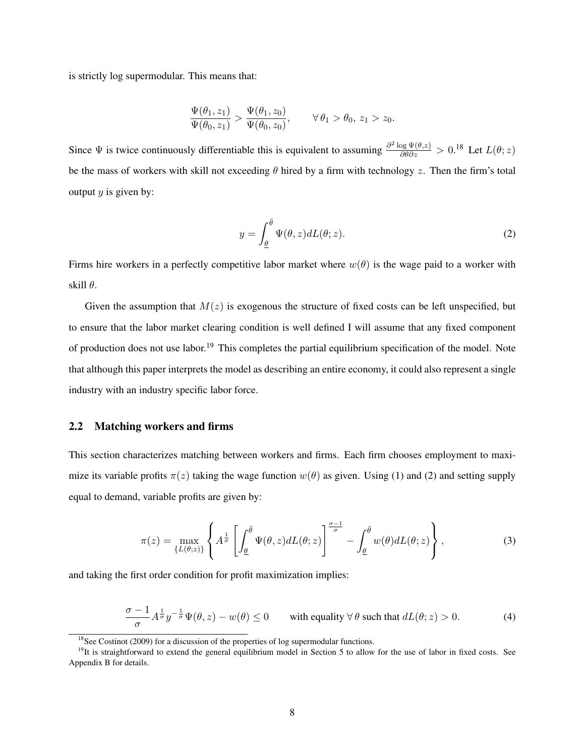is strictly log supermodular. This means that:

$$
\frac{\Psi(\theta_1, z_1)}{\Psi(\theta_0, z_1)} > \frac{\Psi(\theta_1, z_0)}{\Psi(\theta_0, z_0)}, \qquad \forall \theta_1 > \theta_0, z_1 > z_0.
$$

Since  $\Psi$  is twice continuously differentiable this is equivalent to assuming  $\frac{\partial^2 \log \Psi(\theta,z)}{\partial \theta \partial z} > 0.18$  Let  $L(\theta;z)$ be the mass of workers with skill not exceeding  $\theta$  hired by a firm with technology z. Then the firm's total output  $y$  is given by:

$$
y = \int_{\underline{\theta}}^{\overline{\theta}} \Psi(\theta, z) dL(\theta; z).
$$
 (2)

Firms hire workers in a perfectly competitive labor market where  $w(\theta)$  is the wage paid to a worker with skill  $\theta$ .

Given the assumption that  $M(z)$  is exogenous the structure of fixed costs can be left unspecified, but to ensure that the labor market clearing condition is well defined I will assume that any fixed component of production does not use labor.<sup>19</sup> This completes the partial equilibrium specification of the model. Note that although this paper interprets the model as describing an entire economy, it could also represent a single industry with an industry specific labor force.

### 2.2 Matching workers and firms

This section characterizes matching between workers and firms. Each firm chooses employment to maximize its variable profits  $\pi(z)$  taking the wage function  $w(\theta)$  as given. Using (1) and (2) and setting supply equal to demand, variable profits are given by:

$$
\pi(z) = \max_{\{L(\theta; z)\}} \left\{ A^{\frac{1}{\sigma}} \left[ \int_{\underline{\theta}}^{\overline{\theta}} \Psi(\theta, z) dL(\theta; z) \right]^{\frac{\sigma - 1}{\sigma}} - \int_{\underline{\theta}}^{\overline{\theta}} w(\theta) dL(\theta; z) \right\},\tag{3}
$$

and taking the first order condition for profit maximization implies:

$$
\frac{\sigma - 1}{\sigma} A^{\frac{1}{\sigma}} y^{-\frac{1}{\sigma}} \Psi(\theta, z) - w(\theta) \le 0 \quad \text{with equality } \forall \theta \text{ such that } dL(\theta; z) > 0. \tag{4}
$$

 $18$ See Costinot (2009) for a discussion of the properties of log supermodular functions.

<sup>&</sup>lt;sup>19</sup>It is straightforward to extend the general equilibrium model in Section 5 to allow for the use of labor in fixed costs. See Appendix B for details.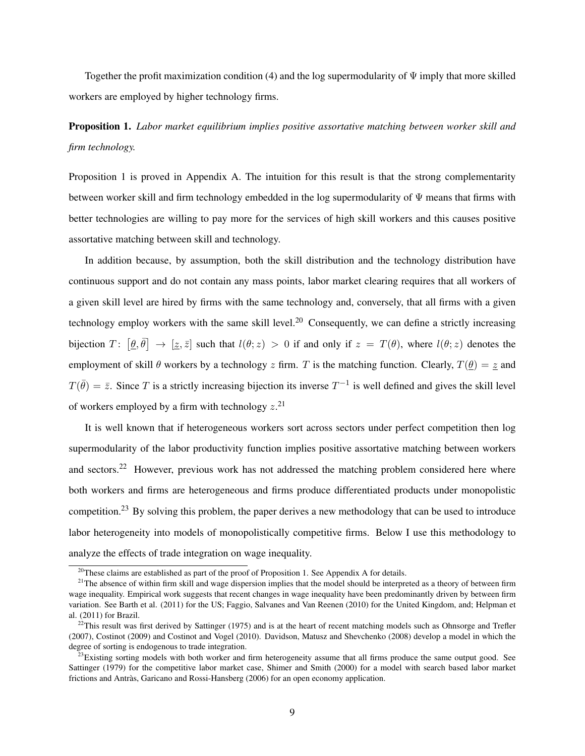Together the profit maximization condition (4) and the log supermodularity of  $\Psi$  imply that more skilled workers are employed by higher technology firms.

Proposition 1. *Labor market equilibrium implies positive assortative matching between worker skill and firm technology.*

Proposition 1 is proved in Appendix A. The intuition for this result is that the strong complementarity between worker skill and firm technology embedded in the log supermodularity of  $\Psi$  means that firms with better technologies are willing to pay more for the services of high skill workers and this causes positive assortative matching between skill and technology.

In addition because, by assumption, both the skill distribution and the technology distribution have continuous support and do not contain any mass points, labor market clearing requires that all workers of a given skill level are hired by firms with the same technology and, conversely, that all firms with a given technology employ workers with the same skill level.<sup>20</sup> Consequently, we can define a strictly increasing bijection  $T: [\theta, \bar{\theta}] \to [\underline{z}, \bar{z}]$  such that  $l(\theta; z) > 0$  if and only if  $z = T(\theta)$ , where  $l(\theta; z)$  denotes the employment of skill  $\theta$  workers by a technology z firm. T is the matching function. Clearly,  $T(\theta) = \alpha z$  and  $T(\bar{\theta}) = \bar{z}$ . Since T is a strictly increasing bijection its inverse  $T^{-1}$  is well defined and gives the skill level of workers employed by a firm with technology  $z$ <sup>21</sup>

It is well known that if heterogeneous workers sort across sectors under perfect competition then log supermodularity of the labor productivity function implies positive assortative matching between workers and sectors.<sup>22</sup> However, previous work has not addressed the matching problem considered here where both workers and firms are heterogeneous and firms produce differentiated products under monopolistic competition.<sup>23</sup> By solving this problem, the paper derives a new methodology that can be used to introduce labor heterogeneity into models of monopolistically competitive firms. Below I use this methodology to analyze the effects of trade integration on wage inequality.

 $^{20}$ These claims are established as part of the proof of Proposition 1. See Appendix A for details.

<sup>&</sup>lt;sup>21</sup>The absence of within firm skill and wage dispersion implies that the model should be interpreted as a theory of between firm wage inequality. Empirical work suggests that recent changes in wage inequality have been predominantly driven by between firm variation. See Barth et al. (2011) for the US; Faggio, Salvanes and Van Reenen (2010) for the United Kingdom, and; Helpman et al. (2011) for Brazil.

 $22$ This result was first derived by Sattinger (1975) and is at the heart of recent matching models such as Ohnsorge and Trefler (2007), Costinot (2009) and Costinot and Vogel (2010). Davidson, Matusz and Shevchenko (2008) develop a model in which the degree of sorting is endogenous to trade integration.

 $^{23}$ Existing sorting models with both worker and firm heterogeneity assume that all firms produce the same output good. See Sattinger (1979) for the competitive labor market case, Shimer and Smith (2000) for a model with search based labor market frictions and Antràs, Garicano and Rossi-Hansberg (2006) for an open economy application.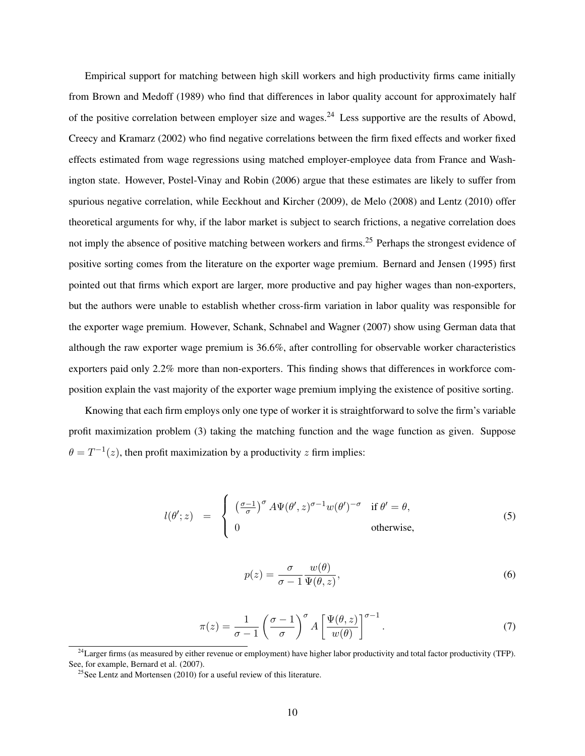Empirical support for matching between high skill workers and high productivity firms came initially from Brown and Medoff (1989) who find that differences in labor quality account for approximately half of the positive correlation between employer size and wages.<sup>24</sup> Less supportive are the results of Abowd, Creecy and Kramarz (2002) who find negative correlations between the firm fixed effects and worker fixed effects estimated from wage regressions using matched employer-employee data from France and Washington state. However, Postel-Vinay and Robin (2006) argue that these estimates are likely to suffer from spurious negative correlation, while Eeckhout and Kircher (2009), de Melo (2008) and Lentz (2010) offer theoretical arguments for why, if the labor market is subject to search frictions, a negative correlation does not imply the absence of positive matching between workers and firms.<sup>25</sup> Perhaps the strongest evidence of positive sorting comes from the literature on the exporter wage premium. Bernard and Jensen (1995) first pointed out that firms which export are larger, more productive and pay higher wages than non-exporters, but the authors were unable to establish whether cross-firm variation in labor quality was responsible for the exporter wage premium. However, Schank, Schnabel and Wagner (2007) show using German data that although the raw exporter wage premium is 36.6%, after controlling for observable worker characteristics exporters paid only 2.2% more than non-exporters. This finding shows that differences in workforce composition explain the vast majority of the exporter wage premium implying the existence of positive sorting.

Knowing that each firm employs only one type of worker it is straightforward to solve the firm's variable profit maximization problem (3) taking the matching function and the wage function as given. Suppose  $\theta = T^{-1}(z)$ , then profit maximization by a productivity z firm implies:

$$
l(\theta'; z) = \begin{cases} \left(\frac{\sigma - 1}{\sigma}\right)^{\sigma} A \Psi(\theta', z)^{\sigma - 1} w(\theta')^{-\sigma} & \text{if } \theta' = \theta, \\ 0 & \text{otherwise,} \end{cases}
$$
(5)

$$
p(z) = \frac{\sigma}{\sigma - 1} \frac{w(\theta)}{\Psi(\theta, z)},
$$
\n(6)

$$
\pi(z) = \frac{1}{\sigma - 1} \left( \frac{\sigma - 1}{\sigma} \right)^{\sigma} A \left[ \frac{\Psi(\theta, z)}{w(\theta)} \right]^{\sigma - 1}.
$$
\n(7)

 $^{24}$ Larger firms (as measured by either revenue or employment) have higher labor productivity and total factor productivity (TFP). See, for example, Bernard et al. (2007).

<sup>&</sup>lt;sup>25</sup>See Lentz and Mortensen (2010) for a useful review of this literature.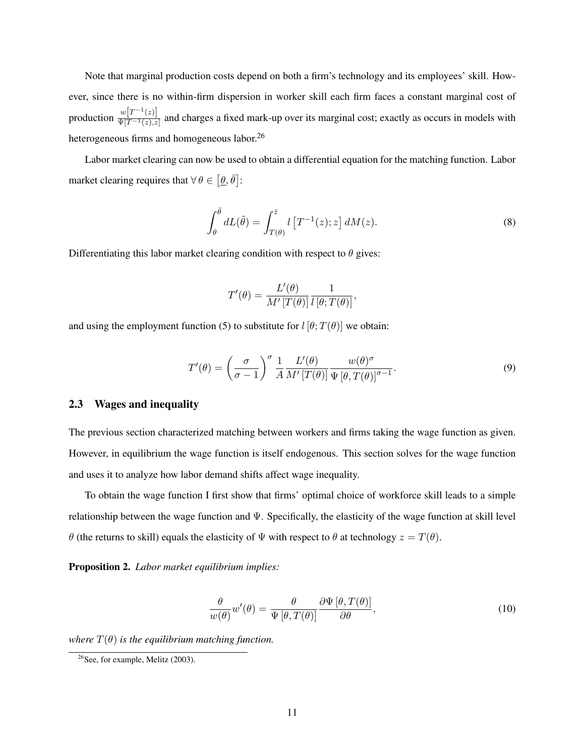Note that marginal production costs depend on both a firm's technology and its employees' skill. However, since there is no within-firm dispersion in worker skill each firm faces a constant marginal cost of production  $\frac{w[T^{-1}(z)]}{w[T^{-1}(z)]}$  $\frac{\omega[1-(z)]}{\Psi[T^{-1}(z),z]}$  and charges a fixed mark-up over its marginal cost; exactly as occurs in models with heterogeneous firms and homogeneous labor.<sup>26</sup>

Labor market clearing can now be used to obtain a differential equation for the matching function. Labor market clearing requires that  $\forall \theta \in [\underline{\theta}, \overline{\theta}]$ :

$$
\int_{\theta}^{\overline{\theta}} dL(\tilde{\theta}) = \int_{T(\theta)}^{\overline{z}} l \left[ T^{-1}(z); z \right] dM(z). \tag{8}
$$

Differentiating this labor market clearing condition with respect to  $\theta$  gives:

$$
T'(\theta) = \frac{L'(\theta)}{M'\left[T(\theta)\right]} \frac{1}{l\left[\theta; T(\theta)\right]},
$$

and using the employment function (5) to substitute for  $l [\theta; T(\theta)]$  we obtain:

$$
T'(\theta) = \left(\frac{\sigma}{\sigma - 1}\right)^{\sigma} \frac{1}{A} \frac{L'(\theta)}{M' [T(\theta)]} \frac{w(\theta)^{\sigma}}{\Psi [\theta, T(\theta)]^{\sigma - 1}}.
$$
\n(9)

## 2.3 Wages and inequality

The previous section characterized matching between workers and firms taking the wage function as given. However, in equilibrium the wage function is itself endogenous. This section solves for the wage function and uses it to analyze how labor demand shifts affect wage inequality.

To obtain the wage function I first show that firms' optimal choice of workforce skill leads to a simple relationship between the wage function and Ψ. Specifically, the elasticity of the wage function at skill level θ (the returns to skill) equals the elasticity of Ψ with respect to θ at technology  $z = T(\theta)$ .

Proposition 2. *Labor market equilibrium implies:*

$$
\frac{\theta}{w(\theta)}w'(\theta) = \frac{\theta}{\Psi[\theta, T(\theta)]}\frac{\partial\Psi[\theta, T(\theta)]}{\partial \theta},\tag{10}
$$

*where*  $T(\theta)$  *is the equilibrium matching function.* 

 $26$ See, for example, Melitz (2003).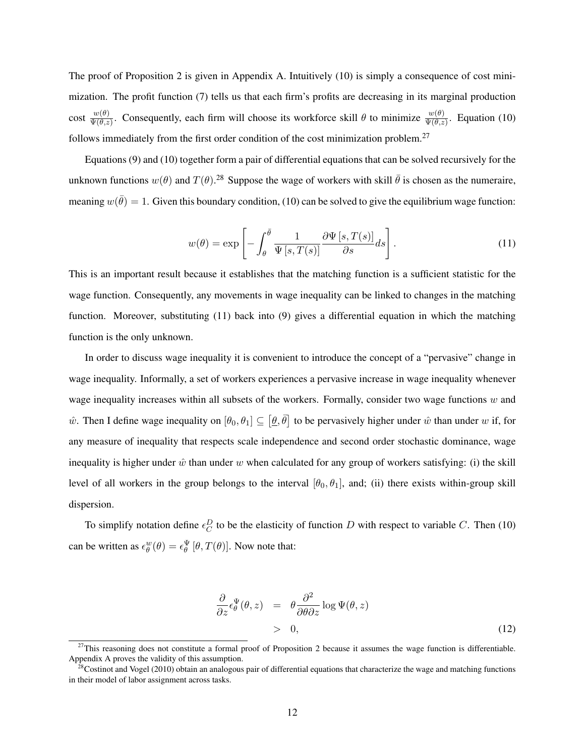The proof of Proposition 2 is given in Appendix A. Intuitively (10) is simply a consequence of cost minimization. The profit function (7) tells us that each firm's profits are decreasing in its marginal production cost  $\frac{w(\theta)}{\Psi(\theta,z)}$ . Consequently, each firm will choose its workforce skill  $\theta$  to minimize  $\frac{w(\theta)}{\Psi(\theta,z)}$ . Equation (10) follows immediately from the first order condition of the cost minimization problem.<sup>27</sup>

Equations (9) and (10) together form a pair of differential equations that can be solved recursively for the unknown functions  $w(\theta)$  and  $T(\theta)$ .<sup>28</sup> Suppose the wage of workers with skill  $\bar{\theta}$  is chosen as the numeraire, meaning  $w(\bar{\theta}) = 1$ . Given this boundary condition, (10) can be solved to give the equilibrium wage function:

$$
w(\theta) = \exp\left[-\int_{\theta}^{\bar{\theta}} \frac{1}{\Psi\left[s, T(s)\right]} \frac{\partial \Psi\left[s, T(s)\right]}{\partial s} ds\right].
$$
 (11)

This is an important result because it establishes that the matching function is a sufficient statistic for the wage function. Consequently, any movements in wage inequality can be linked to changes in the matching function. Moreover, substituting (11) back into (9) gives a differential equation in which the matching function is the only unknown.

In order to discuss wage inequality it is convenient to introduce the concept of a "pervasive" change in wage inequality. Informally, a set of workers experiences a pervasive increase in wage inequality whenever wage inequality increases within all subsets of the workers. Formally, consider two wage functions  $w$  and ŵ. Then I define wage inequality on  $[\theta_0, \theta_1] \subseteq [\underline{\theta}, \overline{\theta}]$  to be pervasively higher under  $\hat{w}$  than under w if, for any measure of inequality that respects scale independence and second order stochastic dominance, wage inequality is higher under  $\hat{w}$  than under w when calculated for any group of workers satisfying: (i) the skill level of all workers in the group belongs to the interval  $[\theta_0, \theta_1]$ , and; (ii) there exists within-group skill dispersion.

To simplify notation define  $\epsilon_C^D$  to be the elasticity of function D with respect to variable C. Then (10) can be written as  $\epsilon_{\theta}^{w}(\theta) = \epsilon_{\theta}^{\Psi} [\theta, T(\theta)].$  Now note that:

$$
\frac{\partial}{\partial z} \epsilon_{\theta}^{\Psi}(\theta, z) = \theta \frac{\partial^2}{\partial \theta \partial z} \log \Psi(\theta, z) > 0,
$$
\n(12)

 $27$ This reasoning does not constitute a formal proof of Proposition 2 because it assumes the wage function is differentiable. Appendix A proves the validity of this assumption.

 $^{28}$ Costinot and Vogel (2010) obtain an analogous pair of differential equations that characterize the wage and matching functions in their model of labor assignment across tasks.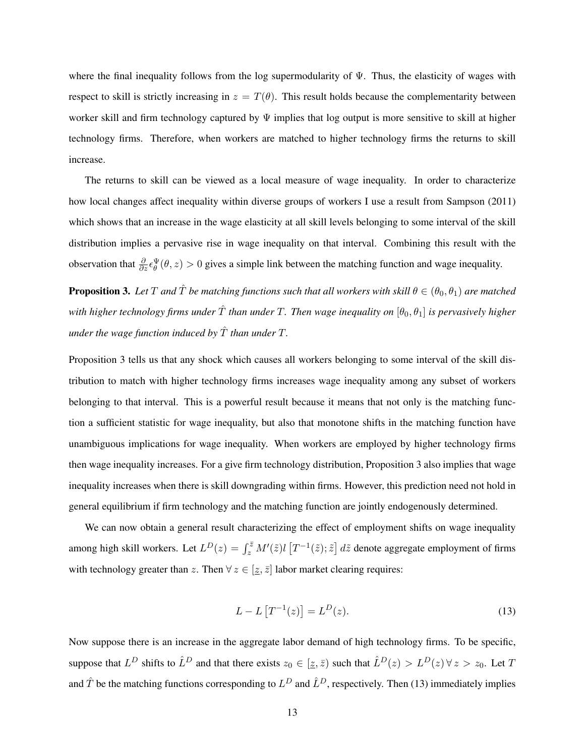where the final inequality follows from the log supermodularity of  $\Psi$ . Thus, the elasticity of wages with respect to skill is strictly increasing in  $z = T(\theta)$ . This result holds because the complementarity between worker skill and firm technology captured by  $\Psi$  implies that log output is more sensitive to skill at higher technology firms. Therefore, when workers are matched to higher technology firms the returns to skill increase.

The returns to skill can be viewed as a local measure of wage inequality. In order to characterize how local changes affect inequality within diverse groups of workers I use a result from Sampson (2011) which shows that an increase in the wage elasticity at all skill levels belonging to some interval of the skill distribution implies a pervasive rise in wage inequality on that interval. Combining this result with the observation that  $\frac{\partial}{\partial z} \epsilon_{\theta}^{\Psi}(\theta, z) > 0$  gives a simple link between the matching function and wage inequality.

**Proposition 3.** Let T and  $\hat{T}$  be matching functions such that all workers with skill  $\theta \in (\theta_0, \theta_1)$  are matched *with higher technology firms under*  $\hat{T}$  *than under*  $T$ *. Then wage inequality on*  $[\theta_0, \theta_1]$  *is pervasively higher under the wage function induced by*  $\hat{T}$  *than under*  $T$ *.* 

Proposition 3 tells us that any shock which causes all workers belonging to some interval of the skill distribution to match with higher technology firms increases wage inequality among any subset of workers belonging to that interval. This is a powerful result because it means that not only is the matching function a sufficient statistic for wage inequality, but also that monotone shifts in the matching function have unambiguous implications for wage inequality. When workers are employed by higher technology firms then wage inequality increases. For a give firm technology distribution, Proposition 3 also implies that wage inequality increases when there is skill downgrading within firms. However, this prediction need not hold in general equilibrium if firm technology and the matching function are jointly endogenously determined.

We can now obtain a general result characterizing the effect of employment shifts on wage inequality among high skill workers. Let  $L^D(z) = \int_z^{\bar{z}} M'(\tilde{z}) l \left[T^{-1}(\tilde{z}); \tilde{z}\right] d\tilde{z}$  denote aggregate employment of firms with technology greater than z. Then  $\forall z \in [\underline{z}, \overline{z}]$  labor market clearing requires:

$$
L - L[T^{-1}(z)] = L^{D}(z).
$$
\n(13)

Now suppose there is an increase in the aggregate labor demand of high technology firms. To be specific, suppose that  $L^D$  shifts to  $\hat{L}^D$  and that there exists  $z_0 \in [\underline{z}, \overline{z})$  such that  $\hat{L}^D(z) > L^D(z)$   $\forall z > z_0$ . Let T and  $\hat{T}$  be the matching functions corresponding to  $L^D$  and  $\hat{L}^D$ , respectively. Then (13) immediately implies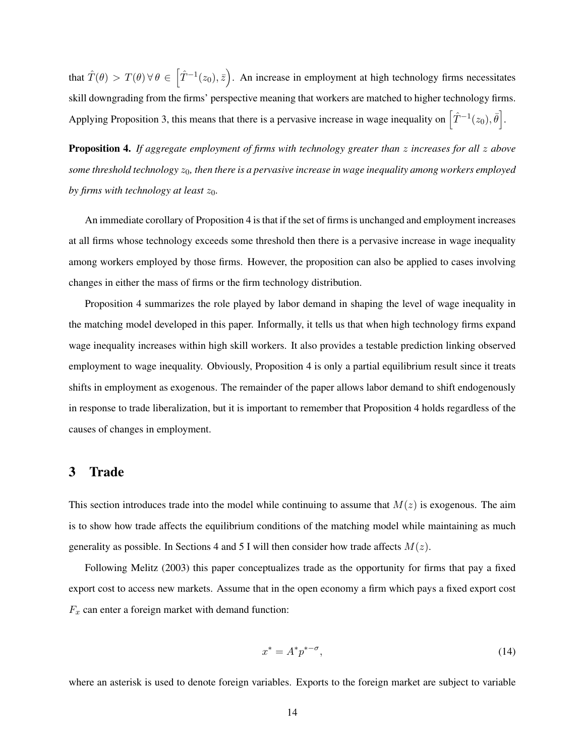that  $\hat{T}(\theta) > T(\theta) \,\forall \,\theta \in \left[\hat{T}^{-1}(z_0), \bar{z}\right)$ . An increase in employment at high technology firms necessitates skill downgrading from the firms' perspective meaning that workers are matched to higher technology firms. Applying Proposition 3, this means that there is a pervasive increase in wage inequality on  $\left[\hat{T}^{-1}(z_0), \bar{\theta}\right]$ .

Proposition 4. *If aggregate employment of firms with technology greater than* z *increases for all* z *above some threshold technology*  $z_0$ , then there is a pervasive increase in wage inequality among workers employed *by firms with technology at least*  $z_0$ *.* 

An immediate corollary of Proposition 4 is that if the set of firms is unchanged and employment increases at all firms whose technology exceeds some threshold then there is a pervasive increase in wage inequality among workers employed by those firms. However, the proposition can also be applied to cases involving changes in either the mass of firms or the firm technology distribution.

Proposition 4 summarizes the role played by labor demand in shaping the level of wage inequality in the matching model developed in this paper. Informally, it tells us that when high technology firms expand wage inequality increases within high skill workers. It also provides a testable prediction linking observed employment to wage inequality. Obviously, Proposition 4 is only a partial equilibrium result since it treats shifts in employment as exogenous. The remainder of the paper allows labor demand to shift endogenously in response to trade liberalization, but it is important to remember that Proposition 4 holds regardless of the causes of changes in employment.

## 3 Trade

This section introduces trade into the model while continuing to assume that  $M(z)$  is exogenous. The aim is to show how trade affects the equilibrium conditions of the matching model while maintaining as much generality as possible. In Sections 4 and 5 I will then consider how trade affects  $M(z)$ .

Following Melitz (2003) this paper conceptualizes trade as the opportunity for firms that pay a fixed export cost to access new markets. Assume that in the open economy a firm which pays a fixed export cost  $F_x$  can enter a foreign market with demand function:

$$
x^* = A^* p^{* - \sigma},\tag{14}
$$

where an asterisk is used to denote foreign variables. Exports to the foreign market are subject to variable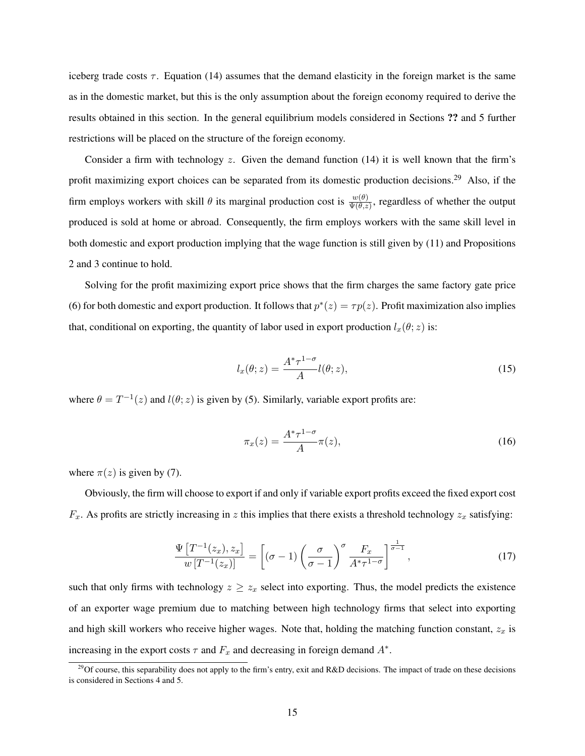iceberg trade costs  $\tau$ . Equation (14) assumes that the demand elasticity in the foreign market is the same as in the domestic market, but this is the only assumption about the foreign economy required to derive the results obtained in this section. In the general equilibrium models considered in Sections ?? and 5 further restrictions will be placed on the structure of the foreign economy.

Consider a firm with technology z. Given the demand function  $(14)$  it is well known that the firm's profit maximizing export choices can be separated from its domestic production decisions.<sup>29</sup> Also, if the firm employs workers with skill  $\theta$  its marginal production cost is  $\frac{w(\theta)}{\Psi(\theta,z)}$ , regardless of whether the output produced is sold at home or abroad. Consequently, the firm employs workers with the same skill level in both domestic and export production implying that the wage function is still given by (11) and Propositions 2 and 3 continue to hold.

Solving for the profit maximizing export price shows that the firm charges the same factory gate price (6) for both domestic and export production. It follows that  $p^*(z) = \tau p(z)$ . Profit maximization also implies that, conditional on exporting, the quantity of labor used in export production  $l_x(\theta; z)$  is:

$$
l_x(\theta; z) = \frac{A^* \tau^{1-\sigma}}{A} l(\theta; z), \qquad (15)
$$

where  $\theta = T^{-1}(z)$  and  $l(\theta; z)$  is given by (5). Similarly, variable export profits are:

$$
\pi_x(z) = \frac{A^*\tau^{1-\sigma}}{A}\pi(z),\tag{16}
$$

where  $\pi(z)$  is given by (7).

Obviously, the firm will choose to export if and only if variable export profits exceed the fixed export cost  $F_x$ . As profits are strictly increasing in z this implies that there exists a threshold technology  $z_x$  satisfying:

$$
\frac{\Psi\left[T^{-1}(z_x), z_x\right]}{w\left[T^{-1}(z_x)\right]} = \left[\left(\sigma - 1\right) \left(\frac{\sigma}{\sigma - 1}\right)^{\sigma} \frac{F_x}{A^* \tau^{1-\sigma}}\right]^{\frac{1}{\sigma - 1}},\tag{17}
$$

such that only firms with technology  $z \geq z_x$  select into exporting. Thus, the model predicts the existence of an exporter wage premium due to matching between high technology firms that select into exporting and high skill workers who receive higher wages. Note that, holding the matching function constant,  $z_x$  is increasing in the export costs  $\tau$  and  $F_x$  and decreasing in foreign demand  $A^*$ .

<sup>&</sup>lt;sup>29</sup>Of course, this separability does not apply to the firm's entry, exit and R&D decisions. The impact of trade on these decisions is considered in Sections 4 and 5.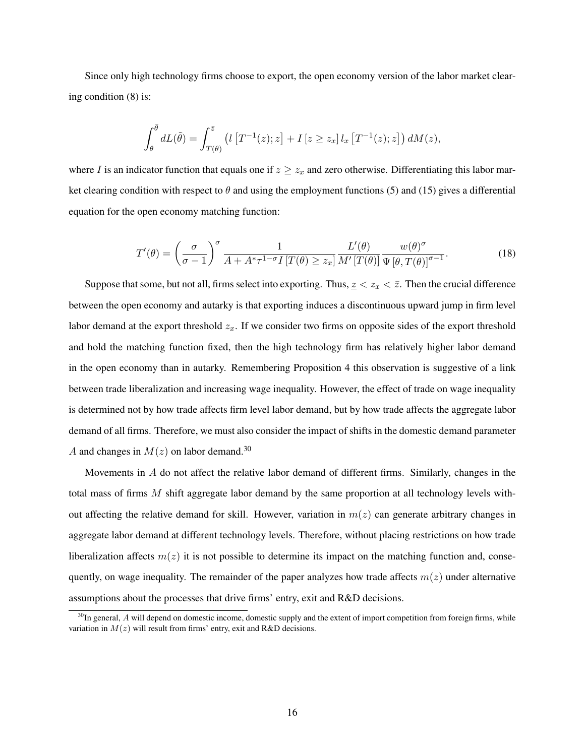Since only high technology firms choose to export, the open economy version of the labor market clearing condition (8) is:

$$
\int_{\theta}^{\bar{\theta}} dL(\tilde{\theta}) = \int_{T(\theta)}^{\bar{z}} \left( l \left[ T^{-1}(z); z \right] + I \left[ z \geq z_x \right] l_x \left[ T^{-1}(z); z \right] \right) dM(z),
$$

where I is an indicator function that equals one if  $z \geq z_x$  and zero otherwise. Differentiating this labor market clearing condition with respect to  $\theta$  and using the employment functions (5) and (15) gives a differential equation for the open economy matching function:

$$
T'(\theta) = \left(\frac{\sigma}{\sigma - 1}\right)^{\sigma} \frac{1}{A + A^* \tau^{1-\sigma} I \left[T(\theta) \ge z_x\right]} \frac{L'(\theta)}{M' \left[T(\theta)\right]} \frac{w(\theta)^{\sigma}}{\Psi \left[\theta, T(\theta)\right]^{\sigma - 1}}.
$$
\n(18)

Suppose that some, but not all, firms select into exporting. Thus,  $z \leq z_x \leq \bar{z}$ . Then the crucial difference between the open economy and autarky is that exporting induces a discontinuous upward jump in firm level labor demand at the export threshold  $z_x$ . If we consider two firms on opposite sides of the export threshold and hold the matching function fixed, then the high technology firm has relatively higher labor demand in the open economy than in autarky. Remembering Proposition 4 this observation is suggestive of a link between trade liberalization and increasing wage inequality. However, the effect of trade on wage inequality is determined not by how trade affects firm level labor demand, but by how trade affects the aggregate labor demand of all firms. Therefore, we must also consider the impact of shifts in the domestic demand parameter A and changes in  $M(z)$  on labor demand.<sup>30</sup>

Movements in A do not affect the relative labor demand of different firms. Similarly, changes in the total mass of firms M shift aggregate labor demand by the same proportion at all technology levels without affecting the relative demand for skill. However, variation in  $m(z)$  can generate arbitrary changes in aggregate labor demand at different technology levels. Therefore, without placing restrictions on how trade liberalization affects  $m(z)$  it is not possible to determine its impact on the matching function and, consequently, on wage inequality. The remainder of the paper analyzes how trade affects  $m(z)$  under alternative assumptions about the processes that drive firms' entry, exit and R&D decisions.

 $30$ In general, A will depend on domestic income, domestic supply and the extent of import competition from foreign firms, while variation in  $M(z)$  will result from firms' entry, exit and R&D decisions.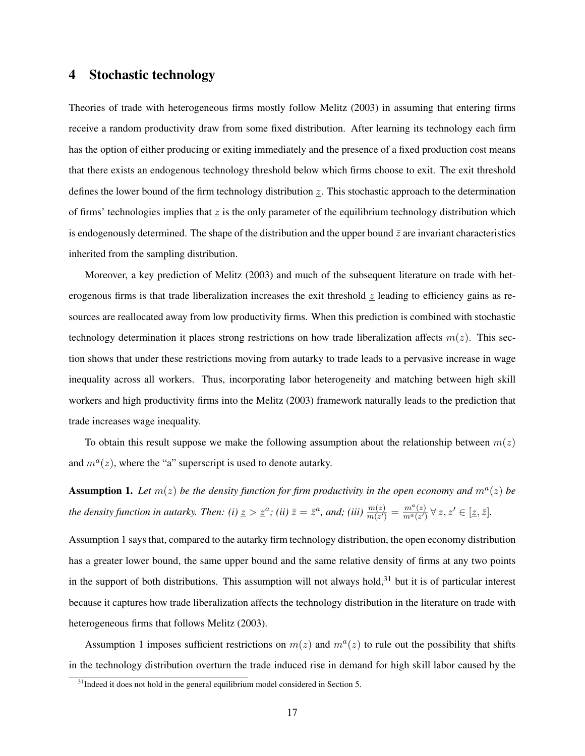# 4 Stochastic technology

Theories of trade with heterogeneous firms mostly follow Melitz (2003) in assuming that entering firms receive a random productivity draw from some fixed distribution. After learning its technology each firm has the option of either producing or exiting immediately and the presence of a fixed production cost means that there exists an endogenous technology threshold below which firms choose to exit. The exit threshold defines the lower bound of the firm technology distribution  $z$ . This stochastic approach to the determination of firms' technologies implies that  $\zeta$  is the only parameter of the equilibrium technology distribution which is endogenously determined. The shape of the distribution and the upper bound  $\bar{z}$  are invariant characteristics inherited from the sampling distribution.

Moreover, a key prediction of Melitz (2003) and much of the subsequent literature on trade with heterogenous firms is that trade liberalization increases the exit threshold  $\zeta$  leading to efficiency gains as resources are reallocated away from low productivity firms. When this prediction is combined with stochastic technology determination it places strong restrictions on how trade liberalization affects  $m(z)$ . This section shows that under these restrictions moving from autarky to trade leads to a pervasive increase in wage inequality across all workers. Thus, incorporating labor heterogeneity and matching between high skill workers and high productivity firms into the Melitz (2003) framework naturally leads to the prediction that trade increases wage inequality.

To obtain this result suppose we make the following assumption about the relationship between  $m(z)$ and  $m^a(z)$ , where the "a" superscript is used to denote autarky.

**Assumption 1.** Let  $m(z)$  be the density function for firm productivity in the open economy and  $m<sup>a</sup>(z)$  be *the density function in autarky. Then: (i)*  $z > z^a$ ; (ii)  $\bar{z} = \bar{z}^a$ , and; (iii)  $\frac{m(z)}{m(z')} = \frac{m^a(z)}{m^a(z')}$  $\frac{m^a(z)}{m^a(z')} \forall z, z' \in [\underline{z}, \overline{z}].$ 

Assumption 1 says that, compared to the autarky firm technology distribution, the open economy distribution has a greater lower bound, the same upper bound and the same relative density of firms at any two points in the support of both distributions. This assumption will not always hold, $31$  but it is of particular interest because it captures how trade liberalization affects the technology distribution in the literature on trade with heterogeneous firms that follows Melitz (2003).

Assumption 1 imposes sufficient restrictions on  $m(z)$  and  $m<sup>a</sup>(z)$  to rule out the possibility that shifts in the technology distribution overturn the trade induced rise in demand for high skill labor caused by the

 $31$ Indeed it does not hold in the general equilibrium model considered in Section 5.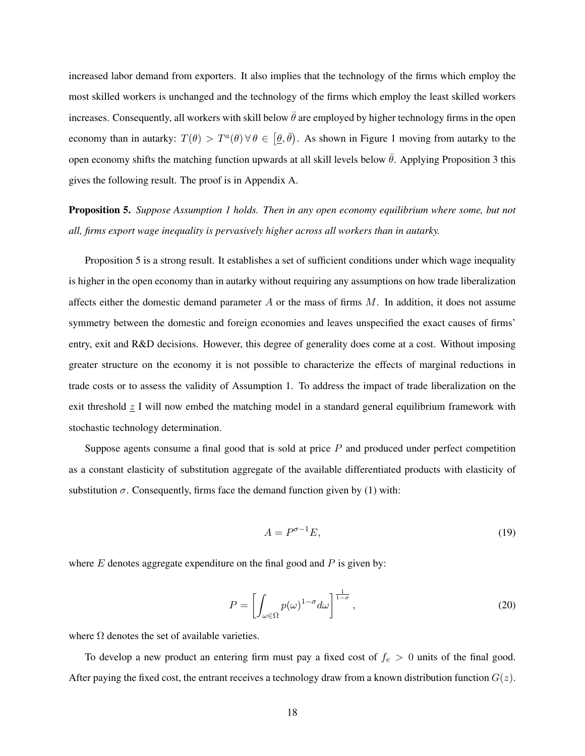increased labor demand from exporters. It also implies that the technology of the firms which employ the most skilled workers is unchanged and the technology of the firms which employ the least skilled workers increases. Consequently, all workers with skill below  $\bar{\theta}$  are employed by higher technology firms in the open economy than in autarky:  $T(\theta) > T^{\alpha}(\theta)$   $\forall \theta \in [\theta, \bar{\theta})$ . As shown in Figure 1 moving from autarky to the open economy shifts the matching function upwards at all skill levels below  $\bar{\theta}$ . Applying Proposition 3 this gives the following result. The proof is in Appendix A.

Proposition 5. *Suppose Assumption 1 holds. Then in any open economy equilibrium where some, but not all, firms export wage inequality is pervasively higher across all workers than in autarky.*

Proposition 5 is a strong result. It establishes a set of sufficient conditions under which wage inequality is higher in the open economy than in autarky without requiring any assumptions on how trade liberalization affects either the domestic demand parameter A or the mass of firms  $M$ . In addition, it does not assume symmetry between the domestic and foreign economies and leaves unspecified the exact causes of firms' entry, exit and R&D decisions. However, this degree of generality does come at a cost. Without imposing greater structure on the economy it is not possible to characterize the effects of marginal reductions in trade costs or to assess the validity of Assumption 1. To address the impact of trade liberalization on the exit threshold  $\leq$  I will now embed the matching model in a standard general equilibrium framework with stochastic technology determination.

Suppose agents consume a final good that is sold at price P and produced under perfect competition as a constant elasticity of substitution aggregate of the available differentiated products with elasticity of substitution  $\sigma$ . Consequently, firms face the demand function given by (1) with:

$$
A = P^{\sigma - 1} E,\tag{19}
$$

where  $E$  denotes aggregate expenditure on the final good and  $P$  is given by:

$$
P = \left[ \int_{\omega \in \Omega} p(\omega)^{1-\sigma} d\omega \right]^{\frac{1}{1-\sigma}}, \tag{20}
$$

where  $\Omega$  denotes the set of available varieties.

To develop a new product an entering firm must pay a fixed cost of  $f_e > 0$  units of the final good. After paying the fixed cost, the entrant receives a technology draw from a known distribution function  $G(z)$ .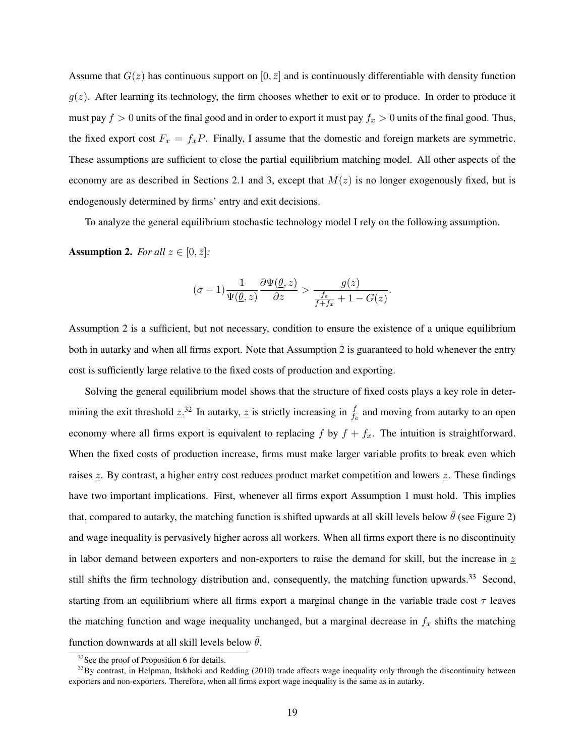Assume that  $G(z)$  has continuous support on  $[0, \bar{z}]$  and is continuously differentiable with density function  $g(z)$ . After learning its technology, the firm chooses whether to exit or to produce. In order to produce it must pay  $f > 0$  units of the final good and in order to export it must pay  $f_x > 0$  units of the final good. Thus, the fixed export cost  $F_x = f_x P$ . Finally, I assume that the domestic and foreign markets are symmetric. These assumptions are sufficient to close the partial equilibrium matching model. All other aspects of the economy are as described in Sections 2.1 and 3, except that  $M(z)$  is no longer exogenously fixed, but is endogenously determined by firms' entry and exit decisions.

To analyze the general equilibrium stochastic technology model I rely on the following assumption.

Assumption 2. *For all*  $z \in [0, \bar{z}]$ *:* 

$$
(\sigma-1)\frac{1}{\Psi(\underline{\theta},z)}\frac{\partial\Psi(\underline{\theta},z)}{\partial z} > \frac{g(z)}{\frac{f_e}{f+f_x}+1-G(z)}.
$$

Assumption 2 is a sufficient, but not necessary, condition to ensure the existence of a unique equilibrium both in autarky and when all firms export. Note that Assumption 2 is guaranteed to hold whenever the entry cost is sufficiently large relative to the fixed costs of production and exporting.

Solving the general equilibrium model shows that the structure of fixed costs plays a key role in determining the exit threshold  $\underline{z}^{32}$ . In autarky,  $\underline{z}$  is strictly increasing in  $\frac{f}{f_e}$  and moving from autarky to an open economy where all firms export is equivalent to replacing f by  $f + f_x$ . The intuition is straightforward. When the fixed costs of production increase, firms must make larger variable profits to break even which raises z. By contrast, a higher entry cost reduces product market competition and lowers z. These findings have two important implications. First, whenever all firms export Assumption 1 must hold. This implies that, compared to autarky, the matching function is shifted upwards at all skill levels below  $\bar{\theta}$  (see Figure 2) and wage inequality is pervasively higher across all workers. When all firms export there is no discontinuity in labor demand between exporters and non-exporters to raise the demand for skill, but the increase in  $z$ still shifts the firm technology distribution and, consequently, the matching function upwards.<sup>33</sup> Second, starting from an equilibrium where all firms export a marginal change in the variable trade cost  $\tau$  leaves the matching function and wage inequality unchanged, but a marginal decrease in  $f_x$  shifts the matching function downwards at all skill levels below  $\bar{\theta}$ .

<sup>&</sup>lt;sup>32</sup>See the proof of Proposition 6 for details.

<sup>&</sup>lt;sup>33</sup>By contrast, in Helpman, Itskhoki and Redding (2010) trade affects wage inequality only through the discontinuity between exporters and non-exporters. Therefore, when all firms export wage inequality is the same as in autarky.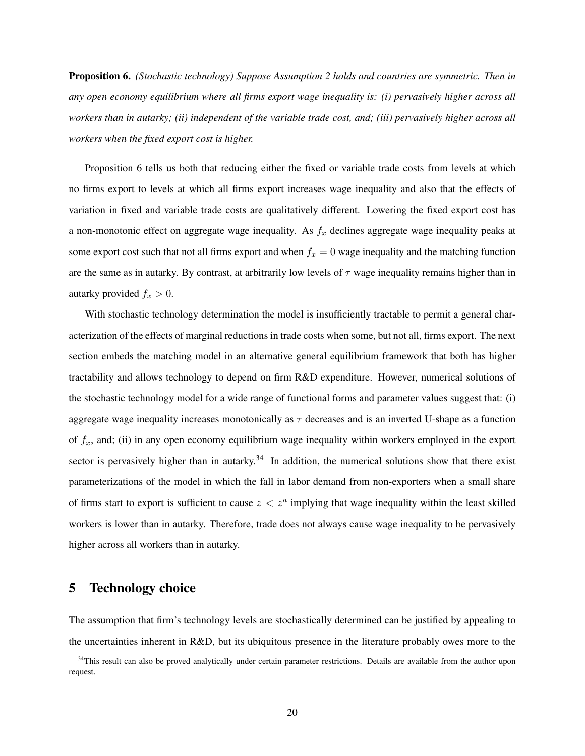Proposition 6. *(Stochastic technology) Suppose Assumption 2 holds and countries are symmetric. Then in any open economy equilibrium where all firms export wage inequality is: (i) pervasively higher across all workers than in autarky; (ii) independent of the variable trade cost, and; (iii) pervasively higher across all workers when the fixed export cost is higher.*

Proposition 6 tells us both that reducing either the fixed or variable trade costs from levels at which no firms export to levels at which all firms export increases wage inequality and also that the effects of variation in fixed and variable trade costs are qualitatively different. Lowering the fixed export cost has a non-monotonic effect on aggregate wage inequality. As  $f_x$  declines aggregate wage inequality peaks at some export cost such that not all firms export and when  $f_x = 0$  wage inequality and the matching function are the same as in autarky. By contrast, at arbitrarily low levels of  $\tau$  wage inequality remains higher than in autarky provided  $f_x > 0$ .

With stochastic technology determination the model is insufficiently tractable to permit a general characterization of the effects of marginal reductions in trade costs when some, but not all, firms export. The next section embeds the matching model in an alternative general equilibrium framework that both has higher tractability and allows technology to depend on firm R&D expenditure. However, numerical solutions of the stochastic technology model for a wide range of functional forms and parameter values suggest that: (i) aggregate wage inequality increases monotonically as  $\tau$  decreases and is an inverted U-shape as a function of  $f<sub>x</sub>$ , and; (ii) in any open economy equilibrium wage inequality within workers employed in the export sector is pervasively higher than in autarky. $34$  In addition, the numerical solutions show that there exist parameterizations of the model in which the fall in labor demand from non-exporters when a small share of firms start to export is sufficient to cause  $z < z^a$  implying that wage inequality within the least skilled workers is lower than in autarky. Therefore, trade does not always cause wage inequality to be pervasively higher across all workers than in autarky.

## 5 Technology choice

The assumption that firm's technology levels are stochastically determined can be justified by appealing to the uncertainties inherent in R&D, but its ubiquitous presence in the literature probably owes more to the

<sup>&</sup>lt;sup>34</sup>This result can also be proved analytically under certain parameter restrictions. Details are available from the author upon request.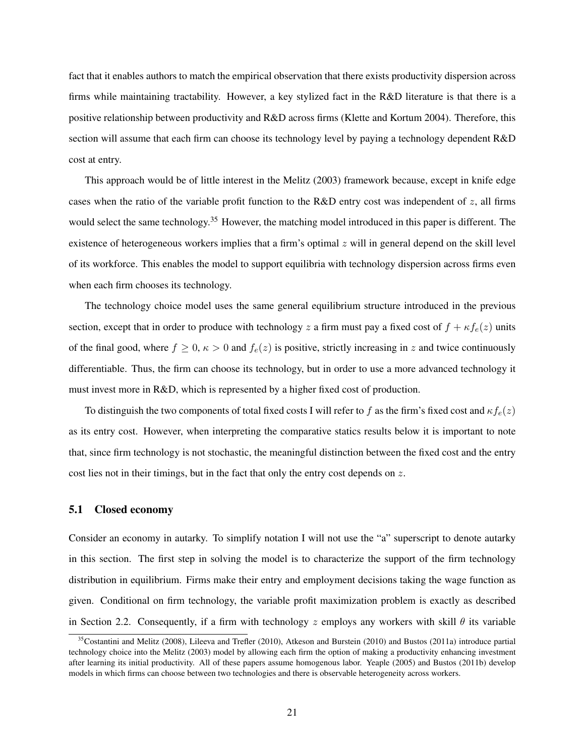fact that it enables authors to match the empirical observation that there exists productivity dispersion across firms while maintaining tractability. However, a key stylized fact in the R&D literature is that there is a positive relationship between productivity and R&D across firms (Klette and Kortum 2004). Therefore, this section will assume that each firm can choose its technology level by paying a technology dependent R&D cost at entry.

This approach would be of little interest in the Melitz (2003) framework because, except in knife edge cases when the ratio of the variable profit function to the R&D entry cost was independent of z, all firms would select the same technology.<sup>35</sup> However, the matching model introduced in this paper is different. The existence of heterogeneous workers implies that a firm's optimal  $z$  will in general depend on the skill level of its workforce. This enables the model to support equilibria with technology dispersion across firms even when each firm chooses its technology.

The technology choice model uses the same general equilibrium structure introduced in the previous section, except that in order to produce with technology z a firm must pay a fixed cost of  $f + \kappa f_e(z)$  units of the final good, where  $f \ge 0$ ,  $\kappa > 0$  and  $f_e(z)$  is positive, strictly increasing in z and twice continuously differentiable. Thus, the firm can choose its technology, but in order to use a more advanced technology it must invest more in R&D, which is represented by a higher fixed cost of production.

To distinguish the two components of total fixed costs I will refer to f as the firm's fixed cost and  $\kappa f_e(z)$ as its entry cost. However, when interpreting the comparative statics results below it is important to note that, since firm technology is not stochastic, the meaningful distinction between the fixed cost and the entry cost lies not in their timings, but in the fact that only the entry cost depends on z.

## 5.1 Closed economy

Consider an economy in autarky. To simplify notation I will not use the "a" superscript to denote autarky in this section. The first step in solving the model is to characterize the support of the firm technology distribution in equilibrium. Firms make their entry and employment decisions taking the wage function as given. Conditional on firm technology, the variable profit maximization problem is exactly as described in Section 2.2. Consequently, if a firm with technology z employs any workers with skill  $\theta$  its variable

 $35$ Costantini and Melitz (2008), Lileeva and Trefler (2010), Atkeson and Burstein (2010) and Bustos (2011a) introduce partial technology choice into the Melitz (2003) model by allowing each firm the option of making a productivity enhancing investment after learning its initial productivity. All of these papers assume homogenous labor. Yeaple (2005) and Bustos (2011b) develop models in which firms can choose between two technologies and there is observable heterogeneity across workers.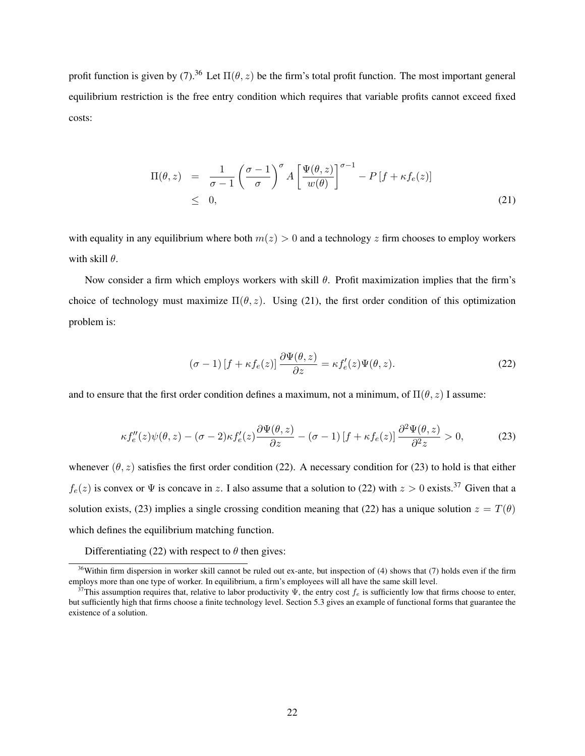profit function is given by (7).<sup>36</sup> Let  $\Pi(\theta, z)$  be the firm's total profit function. The most important general equilibrium restriction is the free entry condition which requires that variable profits cannot exceed fixed costs:

$$
\Pi(\theta, z) = \frac{1}{\sigma - 1} \left( \frac{\sigma - 1}{\sigma} \right)^{\sigma} A \left[ \frac{\Psi(\theta, z)}{w(\theta)} \right]^{\sigma - 1} - P \left[ f + \kappa f_e(z) \right]
$$
\n
$$
\leq 0, \tag{21}
$$

with equality in any equilibrium where both  $m(z) > 0$  and a technology z firm chooses to employ workers with skill  $\theta$ .

Now consider a firm which employs workers with skill  $\theta$ . Profit maximization implies that the firm's choice of technology must maximize  $\Pi(\theta, z)$ . Using (21), the first order condition of this optimization problem is:

$$
(\sigma - 1) \left[ f + \kappa f_e(z) \right] \frac{\partial \Psi(\theta, z)}{\partial z} = \kappa f'_e(z) \Psi(\theta, z). \tag{22}
$$

and to ensure that the first order condition defines a maximum, not a minimum, of  $\Pi(\theta, z)$  I assume:

$$
\kappa f_e''(z)\psi(\theta, z) - (\sigma - 2)\kappa f_e'(z)\frac{\partial \Psi(\theta, z)}{\partial z} - (\sigma - 1)[f + \kappa f_e(z)]\frac{\partial^2 \Psi(\theta, z)}{\partial^2 z} > 0,
$$
 (23)

whenever  $(\theta, z)$  satisfies the first order condition (22). A necessary condition for (23) to hold is that either  $f_e(z)$  is convex or  $\Psi$  is concave in z. I also assume that a solution to (22) with  $z > 0$  exists.<sup>37</sup> Given that a solution exists, (23) implies a single crossing condition meaning that (22) has a unique solution  $z = T(\theta)$ which defines the equilibrium matching function.

Differentiating (22) with respect to  $\theta$  then gives:

 $36$ Within firm dispersion in worker skill cannot be ruled out ex-ante, but inspection of (4) shows that (7) holds even if the firm employs more than one type of worker. In equilibrium, a firm's employees will all have the same skill level.

<sup>&</sup>lt;sup>37</sup>This assumption requires that, relative to labor productivity  $\Psi$ , the entry cost  $f_e$  is sufficiently low that firms choose to enter, but sufficiently high that firms choose a finite technology level. Section 5.3 gives an example of functional forms that guarantee the existence of a solution.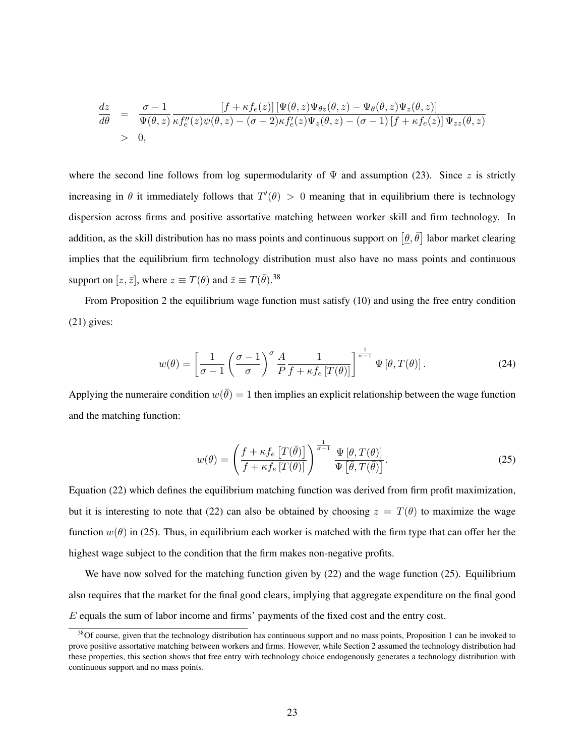$$
\frac{dz}{d\theta} = \frac{\sigma - 1}{\Psi(\theta, z)} \frac{[f + \kappa f_e(z)] [\Psi(\theta, z) \Psi_{\theta z}(\theta, z) - \Psi_{\theta}(\theta, z) \Psi_z(\theta, z)]}{\kappa f_e''(z) \psi(\theta, z) - (\sigma - 2) \kappa f_e'(z) \Psi_z(\theta, z) - (\sigma - 1) [f + \kappa f_e(z)] \Psi_{zz}(\theta, z)}
$$
  
> 0,

where the second line follows from log supermodularity of  $\Psi$  and assumption (23). Since z is strictly increasing in  $\theta$  it immediately follows that  $T'(\theta) > 0$  meaning that in equilibrium there is technology dispersion across firms and positive assortative matching between worker skill and firm technology. In addition, as the skill distribution has no mass points and continuous support on  $[\underline{\theta}, \overline{\theta}]$  labor market clearing implies that the equilibrium firm technology distribution must also have no mass points and continuous support on  $[\underline{z}, \overline{z}]$ , where  $\underline{z} \equiv T(\underline{\theta})$  and  $\overline{z} \equiv T(\overline{\theta})$ .<sup>38</sup>

From Proposition 2 the equilibrium wage function must satisfy (10) and using the free entry condition (21) gives:

$$
w(\theta) = \left[\frac{1}{\sigma - 1} \left(\frac{\sigma - 1}{\sigma}\right)^{\sigma} \frac{A}{P} \frac{1}{f + \kappa f_e \left[T(\theta)\right]}\right]^{\frac{1}{\sigma - 1}} \Psi \left[\theta, T(\theta)\right].
$$
 (24)

Applying the numeraire condition  $w(\bar{\theta}) = 1$  then implies an explicit relationship between the wage function and the matching function:

$$
w(\theta) = \left(\frac{f + \kappa f_e \left[T(\bar{\theta})\right]}{f + \kappa f_e \left[T(\theta)\right]}\right)^{\frac{1}{\sigma - 1}} \frac{\Psi \left[\theta, T(\theta)\right]}{\Psi \left[\bar{\theta}, T(\bar{\theta})\right]}.
$$
\n(25)

Equation (22) which defines the equilibrium matching function was derived from firm profit maximization, but it is interesting to note that (22) can also be obtained by choosing  $z = T(\theta)$  to maximize the wage function  $w(\theta)$  in (25). Thus, in equilibrium each worker is matched with the firm type that can offer her the highest wage subject to the condition that the firm makes non-negative profits.

We have now solved for the matching function given by (22) and the wage function (25). Equilibrium also requires that the market for the final good clears, implying that aggregate expenditure on the final good E equals the sum of labor income and firms' payments of the fixed cost and the entry cost.

 $38$ Of course, given that the technology distribution has continuous support and no mass points, Proposition 1 can be invoked to prove positive assortative matching between workers and firms. However, while Section 2 assumed the technology distribution had these properties, this section shows that free entry with technology choice endogenously generates a technology distribution with continuous support and no mass points.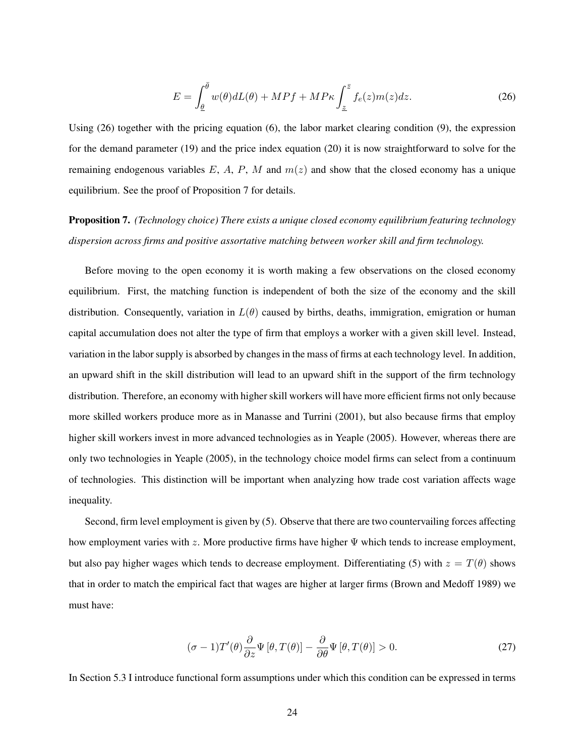$$
E = \int_{\underline{\theta}}^{\overline{\theta}} w(\theta) dL(\theta) + M P f + M P \kappa \int_{\underline{z}}^{\overline{z}} f_e(z) m(z) dz.
$$
 (26)

Using (26) together with the pricing equation (6), the labor market clearing condition (9), the expression for the demand parameter (19) and the price index equation (20) it is now straightforward to solve for the remaining endogenous variables E, A, P, M and  $m(z)$  and show that the closed economy has a unique equilibrium. See the proof of Proposition 7 for details.

# Proposition 7. *(Technology choice) There exists a unique closed economy equilibrium featuring technology dispersion across firms and positive assortative matching between worker skill and firm technology.*

Before moving to the open economy it is worth making a few observations on the closed economy equilibrium. First, the matching function is independent of both the size of the economy and the skill distribution. Consequently, variation in  $L(\theta)$  caused by births, deaths, immigration, emigration or human capital accumulation does not alter the type of firm that employs a worker with a given skill level. Instead, variation in the labor supply is absorbed by changes in the mass of firms at each technology level. In addition, an upward shift in the skill distribution will lead to an upward shift in the support of the firm technology distribution. Therefore, an economy with higher skill workers will have more efficient firms not only because more skilled workers produce more as in Manasse and Turrini (2001), but also because firms that employ higher skill workers invest in more advanced technologies as in Yeaple (2005). However, whereas there are only two technologies in Yeaple (2005), in the technology choice model firms can select from a continuum of technologies. This distinction will be important when analyzing how trade cost variation affects wage inequality.

Second, firm level employment is given by (5). Observe that there are two countervailing forces affecting how employment varies with z. More productive firms have higher  $\Psi$  which tends to increase employment, but also pay higher wages which tends to decrease employment. Differentiating (5) with  $z = T(\theta)$  shows that in order to match the empirical fact that wages are higher at larger firms (Brown and Medoff 1989) we must have:

$$
(\sigma - 1)T'(\theta)\frac{\partial}{\partial z}\Psi[\theta, T(\theta)] - \frac{\partial}{\partial \theta}\Psi[\theta, T(\theta)] > 0.
$$
 (27)

In Section 5.3 I introduce functional form assumptions under which this condition can be expressed in terms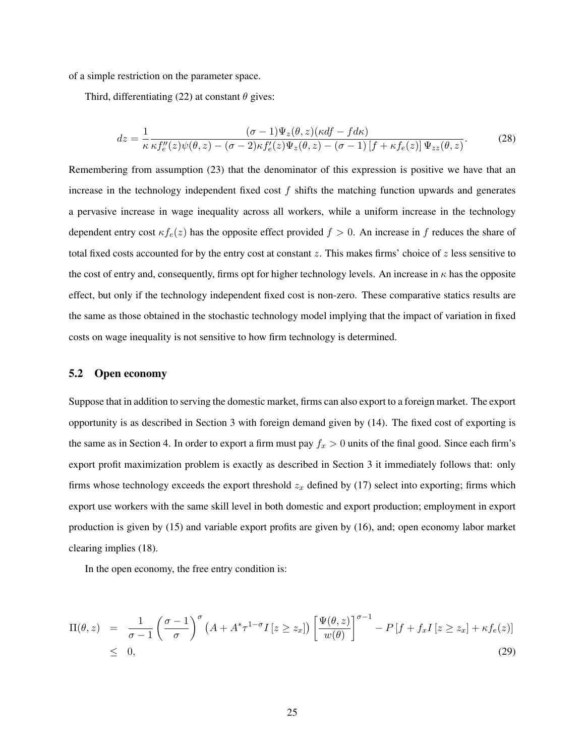of a simple restriction on the parameter space.

Third, differentiating (22) at constant  $\theta$  gives:

$$
dz = \frac{1}{\kappa} \frac{(\sigma - 1)\Psi_z(\theta, z)(\kappa df - f d\kappa)}{\kappa f''_e(z)\psi(\theta, z) - (\sigma - 2)\kappa f'_e(z)\Psi_z(\theta, z) - (\sigma - 1)[f + \kappa f_e(z)]\Psi_{zz}(\theta, z)}.
$$
(28)

Remembering from assumption (23) that the denominator of this expression is positive we have that an increase in the technology independent fixed cost  $f$  shifts the matching function upwards and generates a pervasive increase in wage inequality across all workers, while a uniform increase in the technology dependent entry cost  $\kappa f_e(z)$  has the opposite effect provided  $f > 0$ . An increase in f reduces the share of total fixed costs accounted for by the entry cost at constant  $z$ . This makes firms' choice of  $z$  less sensitive to the cost of entry and, consequently, firms opt for higher technology levels. An increase in  $\kappa$  has the opposite effect, but only if the technology independent fixed cost is non-zero. These comparative statics results are the same as those obtained in the stochastic technology model implying that the impact of variation in fixed costs on wage inequality is not sensitive to how firm technology is determined.

#### 5.2 Open economy

Suppose that in addition to serving the domestic market, firms can also export to a foreign market. The export opportunity is as described in Section 3 with foreign demand given by (14). The fixed cost of exporting is the same as in Section 4. In order to export a firm must pay  $f_x > 0$  units of the final good. Since each firm's export profit maximization problem is exactly as described in Section 3 it immediately follows that: only firms whose technology exceeds the export threshold  $z_x$  defined by (17) select into exporting; firms which export use workers with the same skill level in both domestic and export production; employment in export production is given by (15) and variable export profits are given by (16), and; open economy labor market clearing implies (18).

In the open economy, the free entry condition is:

$$
\Pi(\theta, z) = \frac{1}{\sigma - 1} \left( \frac{\sigma - 1}{\sigma} \right)^{\sigma} \left( A + A^* \tau^{1 - \sigma} I \left[ z \ge z_x \right] \right) \left[ \frac{\Psi(\theta, z)}{w(\theta)} \right]^{\sigma - 1} - P \left[ f + f_x I \left[ z \ge z_x \right] + \kappa f_e(z) \right] \le 0,
$$
\n(29)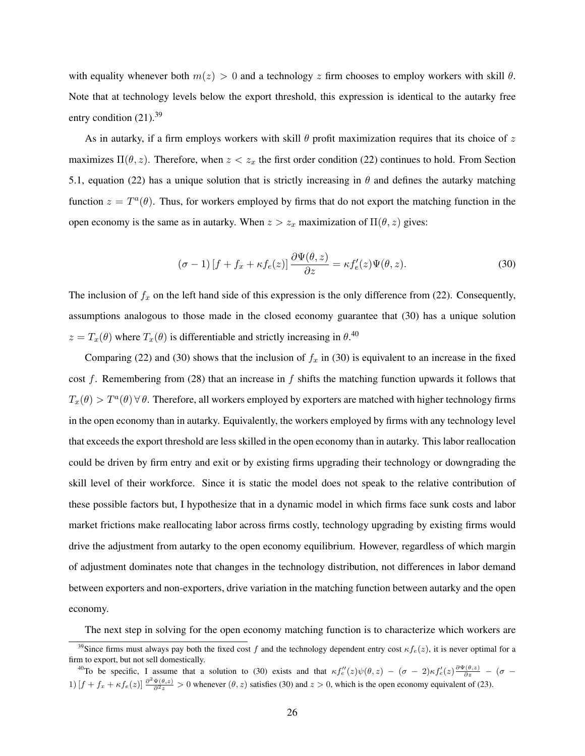with equality whenever both  $m(z) > 0$  and a technology z firm chooses to employ workers with skill  $\theta$ . Note that at technology levels below the export threshold, this expression is identical to the autarky free entry condition  $(21).^{39}$ 

As in autarky, if a firm employs workers with skill  $\theta$  profit maximization requires that its choice of z maximizes  $\Pi(\theta, z)$ . Therefore, when  $z < z_x$  the first order condition (22) continues to hold. From Section 5.1, equation (22) has a unique solution that is strictly increasing in  $\theta$  and defines the autarky matching function  $z = T^a(\theta)$ . Thus, for workers employed by firms that do not export the matching function in the open economy is the same as in autarky. When  $z > z_x$  maximization of  $\Pi(\theta, z)$  gives:

$$
(\sigma - 1)[f + f_x + \kappa f_e(z)] \frac{\partial \Psi(\theta, z)}{\partial z} = \kappa f'_e(z)\Psi(\theta, z). \tag{30}
$$

The inclusion of  $f_x$  on the left hand side of this expression is the only difference from (22). Consequently, assumptions analogous to those made in the closed economy guarantee that (30) has a unique solution  $z = T_x(\theta)$  where  $T_x(\theta)$  is differentiable and strictly increasing in  $\theta$ .<sup>40</sup>

Comparing (22) and (30) shows that the inclusion of  $f_x$  in (30) is equivalent to an increase in the fixed cost f. Remembering from  $(28)$  that an increase in f shifts the matching function upwards it follows that  $T_x(\theta) > T^a(\theta)$   $\forall \theta$ . Therefore, all workers employed by exporters are matched with higher technology firms in the open economy than in autarky. Equivalently, the workers employed by firms with any technology level that exceeds the export threshold are less skilled in the open economy than in autarky. This labor reallocation could be driven by firm entry and exit or by existing firms upgrading their technology or downgrading the skill level of their workforce. Since it is static the model does not speak to the relative contribution of these possible factors but, I hypothesize that in a dynamic model in which firms face sunk costs and labor market frictions make reallocating labor across firms costly, technology upgrading by existing firms would drive the adjustment from autarky to the open economy equilibrium. However, regardless of which margin of adjustment dominates note that changes in the technology distribution, not differences in labor demand between exporters and non-exporters, drive variation in the matching function between autarky and the open economy.

The next step in solving for the open economy matching function is to characterize which workers are

<sup>&</sup>lt;sup>39</sup>Since firms must always pay both the fixed cost f and the technology dependent entry cost  $\kappa f_e(z)$ , it is never optimal for a firm to export, but not sell domestically.

<sup>&</sup>lt;sup>40</sup>To be specific, I assume that a solution to (30) exists and that  $\kappa f''_e(z)\psi(\theta, z) - (\sigma - 2)\kappa f'_e(z)\frac{\partial \Psi(\theta, z)}{\partial z} - (\sigma - 2)\kappa f'_e(z)\frac{\partial \Psi(\theta, z)}{\partial z}$ 1)  $[f + f_x + \kappa f_e(z)] \frac{\partial^2 \Psi(\theta, z)}{\partial^2 z} > 0$  whenever  $(\theta, z)$  satisfies (30) and  $z > 0$ , which is the open economy equivalent of (23).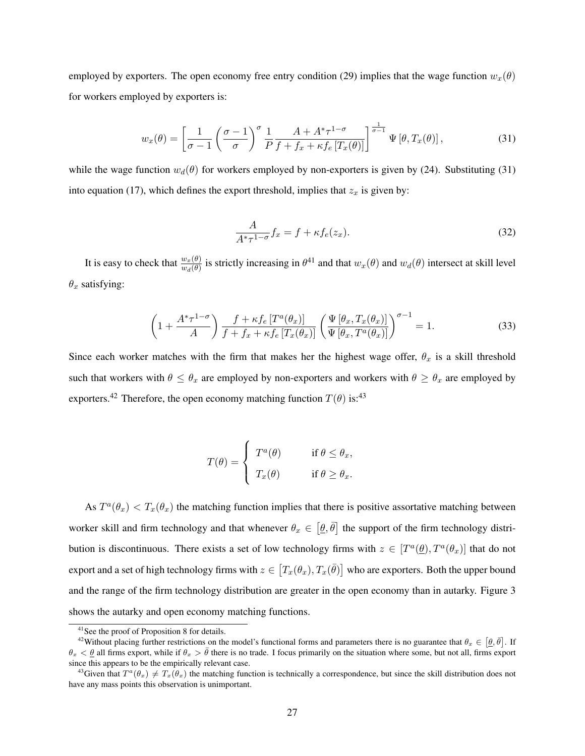employed by exporters. The open economy free entry condition (29) implies that the wage function  $w_x(\theta)$ for workers employed by exporters is:

$$
w_x(\theta) = \left[\frac{1}{\sigma - 1} \left(\frac{\sigma - 1}{\sigma}\right)^{\sigma} \frac{1}{P} \frac{A + A^* \tau^{1 - \sigma}}{f + f_x + \kappa f_e \left[T_x(\theta)\right]}\right]^{\frac{1}{\sigma - 1}} \Psi \left[\theta, T_x(\theta)\right],\tag{31}
$$

while the wage function  $w_d(\theta)$  for workers employed by non-exporters is given by (24). Substituting (31) into equation (17), which defines the export threshold, implies that  $z_x$  is given by:

$$
\frac{A}{A^*\tau^{1-\sigma}}f_x = f + \kappa f_e(z_x). \tag{32}
$$

It is easy to check that  $\frac{w_x(\theta)}{w_d(\theta)}$  is strictly increasing in  $\theta^{41}$  and that  $w_x(\theta)$  and  $w_d(\theta)$  intersect at skill level  $\theta_x$  satisfying:

$$
\left(1+\frac{A^*\tau^{1-\sigma}}{A}\right)\frac{f+\kappa f_e\left[T^a(\theta_x)\right]}{f+f_x+\kappa f_e\left[T_x(\theta_x)\right]}\left(\frac{\Psi\left[\theta_x,T_x(\theta_x)\right]}{\Psi\left[\theta_x,T^a(\theta_x)\right]}\right)^{\sigma-1}=1.
$$
\n(33)

Since each worker matches with the firm that makes her the highest wage offer,  $\theta_x$  is a skill threshold such that workers with  $\theta \leq \theta_x$  are employed by non-exporters and workers with  $\theta \geq \theta_x$  are employed by exporters.<sup>42</sup> Therefore, the open economy matching function  $T(\theta)$  is:<sup>43</sup>

$$
T(\theta) = \begin{cases} T^a(\theta) & \text{if } \theta \le \theta_x, \\ T_x(\theta) & \text{if } \theta \ge \theta_x. \end{cases}
$$

As  $T^a(\theta_x) < T_x(\theta_x)$  the matching function implies that there is positive assortative matching between worker skill and firm technology and that whenever  $\theta_x \in [\theta, \bar{\theta}]$  the support of the firm technology distribution is discontinuous. There exists a set of low technology firms with  $z \in [T^a(\underline{\theta}), T^a(\theta_x)]$  that do not export and a set of high technology firms with  $z\in\bigl[T_x(\theta_x),T_x(\bar{\theta})\bigr]$  who are exporters. Both the upper bound and the range of the firm technology distribution are greater in the open economy than in autarky. Figure 3 shows the autarky and open economy matching functions.

<sup>41</sup>See the proof of Proposition 8 for details.

<sup>&</sup>lt;sup>42</sup>Without placing further restrictions on the model's functional forms and parameters there is no guarantee that  $\theta_x \in [\theta, \bar{\theta}]$ . If  $\theta_x < \theta$  all firms export, while if  $\theta_x > \bar{\theta}$  there is no trade. I focus primarily on the situation where some, but not all, firms export since this appears to be the empirically relevant case.

<sup>&</sup>lt;sup>43</sup>Given that  $T^a(\theta_x) \neq T_x(\theta_x)$  the matching function is technically a correspondence, but since the skill distribution does not have any mass points this observation is unimportant.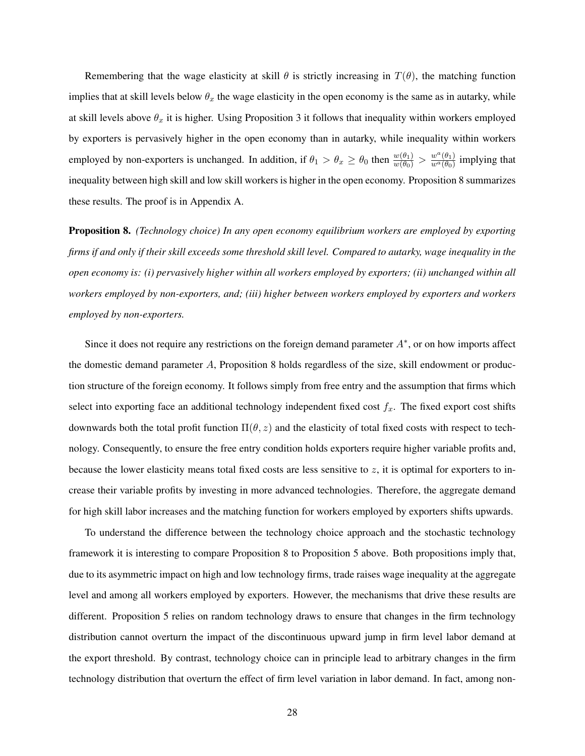Remembering that the wage elasticity at skill  $\theta$  is strictly increasing in  $T(\theta)$ , the matching function implies that at skill levels below  $\theta_x$  the wage elasticity in the open economy is the same as in autarky, while at skill levels above  $\theta_x$  it is higher. Using Proposition 3 it follows that inequality within workers employed by exporters is pervasively higher in the open economy than in autarky, while inequality within workers employed by non-exporters is unchanged. In addition, if  $\theta_1 > \theta_x \ge \theta_0$  then  $\frac{w(\theta_1)}{w(\theta_0)} > \frac{w^a(\theta_1)}{w^a(\theta_0)}$  $\frac{w^{\alpha}(\theta_1)}{w^{\alpha}(\theta_0)}$  implying that inequality between high skill and low skill workers is higher in the open economy. Proposition 8 summarizes these results. The proof is in Appendix A.

Proposition 8. *(Technology choice) In any open economy equilibrium workers are employed by exporting firms if and only if their skill exceeds some threshold skill level. Compared to autarky, wage inequality in the open economy is: (i) pervasively higher within all workers employed by exporters; (ii) unchanged within all workers employed by non-exporters, and; (iii) higher between workers employed by exporters and workers employed by non-exporters.*

Since it does not require any restrictions on the foreign demand parameter  $A^*$ , or on how imports affect the domestic demand parameter A, Proposition 8 holds regardless of the size, skill endowment or production structure of the foreign economy. It follows simply from free entry and the assumption that firms which select into exporting face an additional technology independent fixed cost  $f_x$ . The fixed export cost shifts downwards both the total profit function  $\Pi(\theta, z)$  and the elasticity of total fixed costs with respect to technology. Consequently, to ensure the free entry condition holds exporters require higher variable profits and, because the lower elasticity means total fixed costs are less sensitive to  $z$ , it is optimal for exporters to increase their variable profits by investing in more advanced technologies. Therefore, the aggregate demand for high skill labor increases and the matching function for workers employed by exporters shifts upwards.

To understand the difference between the technology choice approach and the stochastic technology framework it is interesting to compare Proposition 8 to Proposition 5 above. Both propositions imply that, due to its asymmetric impact on high and low technology firms, trade raises wage inequality at the aggregate level and among all workers employed by exporters. However, the mechanisms that drive these results are different. Proposition 5 relies on random technology draws to ensure that changes in the firm technology distribution cannot overturn the impact of the discontinuous upward jump in firm level labor demand at the export threshold. By contrast, technology choice can in principle lead to arbitrary changes in the firm technology distribution that overturn the effect of firm level variation in labor demand. In fact, among non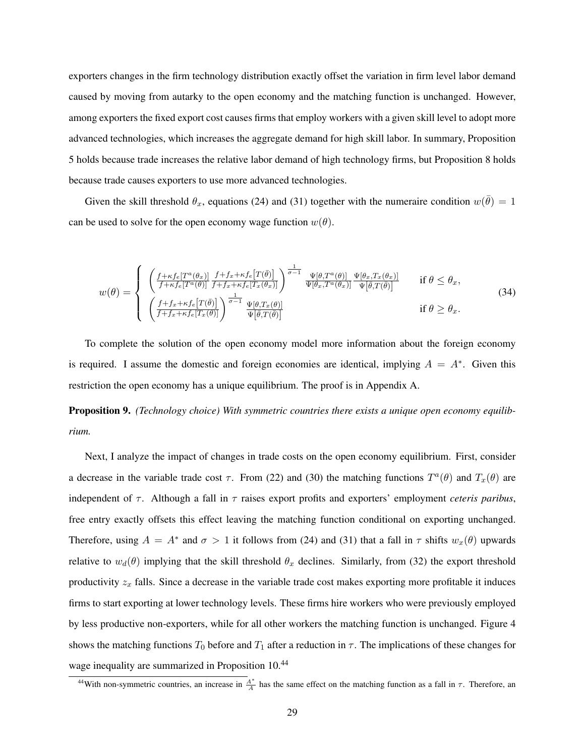exporters changes in the firm technology distribution exactly offset the variation in firm level labor demand caused by moving from autarky to the open economy and the matching function is unchanged. However, among exporters the fixed export cost causes firms that employ workers with a given skill level to adopt more advanced technologies, which increases the aggregate demand for high skill labor. In summary, Proposition 5 holds because trade increases the relative labor demand of high technology firms, but Proposition 8 holds because trade causes exporters to use more advanced technologies.

Given the skill threshold  $\theta_x$ , equations (24) and (31) together with the numeraire condition  $w(\bar{\theta}) = 1$ can be used to solve for the open economy wage function  $w(\theta)$ .

$$
w(\theta) = \begin{cases} \begin{array}{l} \left( \frac{f + \kappa f_e[T^a(\theta_x)]}{f + \kappa f_e[T^a(\theta)]} \frac{f + f_x + \kappa f_e[T(\bar{\theta})]}{f + f_x + \kappa f_e[T_x(\theta_x)]} \right)^{\frac{1}{\sigma - 1}} \frac{\Psi[\theta, T^a(\theta)]}{\Psi[\theta_x, T^a(\theta_x)]} \frac{\Psi[\theta_x, T_x(\theta_x)]}{\Psi[\bar{\theta}, T(\bar{\theta})]} & \text{if } \theta \le \theta_x, \\ \left( \frac{f + f_x + \kappa f_e[T(\bar{\theta})]}{f + f_x + \kappa f_e[T_x(\theta)]} \right)^{\frac{1}{\sigma - 1}} \frac{\Psi[\theta, T_x(\theta)]}{\Psi[\bar{\theta}, T(\bar{\theta})]} & \text{if } \theta \ge \theta_x. \end{array} \end{cases} \tag{34}
$$

To complete the solution of the open economy model more information about the foreign economy is required. I assume the domestic and foreign economies are identical, implying  $A = A^*$ . Given this restriction the open economy has a unique equilibrium. The proof is in Appendix A.

Proposition 9. *(Technology choice) With symmetric countries there exists a unique open economy equilibrium.*

Next, I analyze the impact of changes in trade costs on the open economy equilibrium. First, consider a decrease in the variable trade cost  $\tau$ . From (22) and (30) the matching functions  $T^a(\theta)$  and  $T_x(\theta)$  are independent of  $\tau$ . Although a fall in  $\tau$  raises export profits and exporters' employment *ceteris paribus*, free entry exactly offsets this effect leaving the matching function conditional on exporting unchanged. Therefore, using  $A = A^*$  and  $\sigma > 1$  it follows from (24) and (31) that a fall in  $\tau$  shifts  $w_x(\theta)$  upwards relative to  $w_d(\theta)$  implying that the skill threshold  $\theta_x$  declines. Similarly, from (32) the export threshold productivity  $z_x$  falls. Since a decrease in the variable trade cost makes exporting more profitable it induces firms to start exporting at lower technology levels. These firms hire workers who were previously employed by less productive non-exporters, while for all other workers the matching function is unchanged. Figure 4 shows the matching functions  $T_0$  before and  $T_1$  after a reduction in  $\tau$ . The implications of these changes for wage inequality are summarized in Proposition 10.<sup>44</sup>

<sup>&</sup>lt;sup>44</sup>With non-symmetric countries, an increase in  $\frac{A^*}{A}$  has the same effect on the matching function as a fall in  $\tau$ . Therefore, an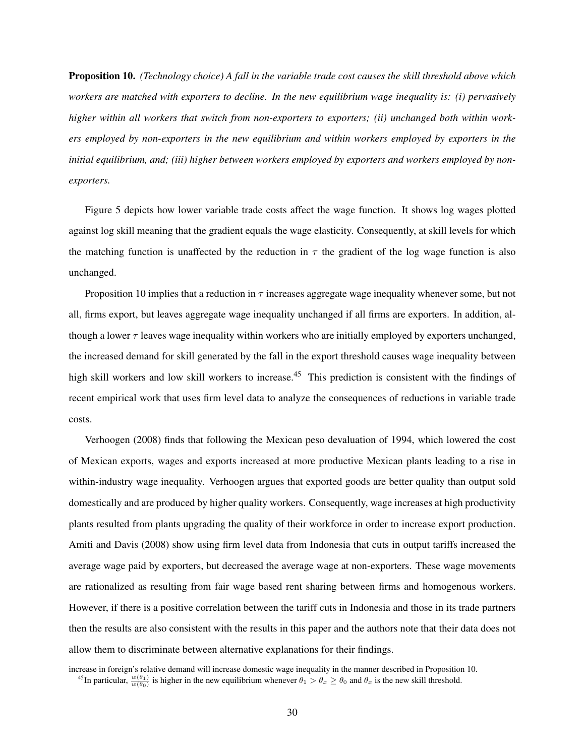Proposition 10. *(Technology choice) A fall in the variable trade cost causes the skill threshold above which workers are matched with exporters to decline. In the new equilibrium wage inequality is: (i) pervasively higher within all workers that switch from non-exporters to exporters; (ii) unchanged both within workers employed by non-exporters in the new equilibrium and within workers employed by exporters in the initial equilibrium, and; (iii) higher between workers employed by exporters and workers employed by nonexporters.*

Figure 5 depicts how lower variable trade costs affect the wage function. It shows log wages plotted against log skill meaning that the gradient equals the wage elasticity. Consequently, at skill levels for which the matching function is unaffected by the reduction in  $\tau$  the gradient of the log wage function is also unchanged.

Proposition 10 implies that a reduction in  $\tau$  increases aggregate wage inequality whenever some, but not all, firms export, but leaves aggregate wage inequality unchanged if all firms are exporters. In addition, although a lower  $\tau$  leaves wage inequality within workers who are initially employed by exporters unchanged, the increased demand for skill generated by the fall in the export threshold causes wage inequality between high skill workers and low skill workers to increase.<sup>45</sup> This prediction is consistent with the findings of recent empirical work that uses firm level data to analyze the consequences of reductions in variable trade costs.

Verhoogen (2008) finds that following the Mexican peso devaluation of 1994, which lowered the cost of Mexican exports, wages and exports increased at more productive Mexican plants leading to a rise in within-industry wage inequality. Verhoogen argues that exported goods are better quality than output sold domestically and are produced by higher quality workers. Consequently, wage increases at high productivity plants resulted from plants upgrading the quality of their workforce in order to increase export production. Amiti and Davis (2008) show using firm level data from Indonesia that cuts in output tariffs increased the average wage paid by exporters, but decreased the average wage at non-exporters. These wage movements are rationalized as resulting from fair wage based rent sharing between firms and homogenous workers. However, if there is a positive correlation between the tariff cuts in Indonesia and those in its trade partners then the results are also consistent with the results in this paper and the authors note that their data does not allow them to discriminate between alternative explanations for their findings.

increase in foreign's relative demand will increase domestic wage inequality in the manner described in Proposition 10.

<sup>&</sup>lt;sup>45</sup>In particular,  $\frac{w(\theta_1)}{w(\theta_0)}$  is higher in the new equilibrium whenever  $\theta_1 > \theta_x \ge \theta_0$  and  $\theta_x$  is the new skill threshold.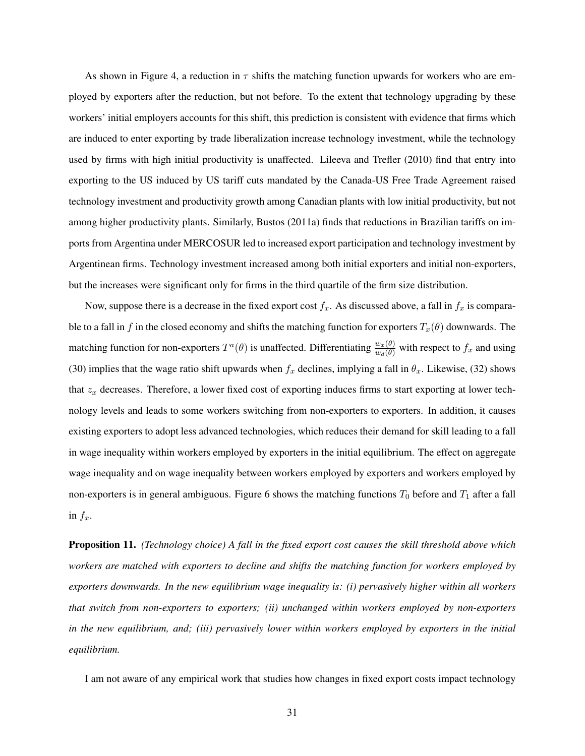As shown in Figure 4, a reduction in  $\tau$  shifts the matching function upwards for workers who are employed by exporters after the reduction, but not before. To the extent that technology upgrading by these workers' initial employers accounts for this shift, this prediction is consistent with evidence that firms which are induced to enter exporting by trade liberalization increase technology investment, while the technology used by firms with high initial productivity is unaffected. Lileeva and Trefler (2010) find that entry into exporting to the US induced by US tariff cuts mandated by the Canada-US Free Trade Agreement raised technology investment and productivity growth among Canadian plants with low initial productivity, but not among higher productivity plants. Similarly, Bustos (2011a) finds that reductions in Brazilian tariffs on imports from Argentina under MERCOSUR led to increased export participation and technology investment by Argentinean firms. Technology investment increased among both initial exporters and initial non-exporters, but the increases were significant only for firms in the third quartile of the firm size distribution.

Now, suppose there is a decrease in the fixed export cost  $f_x$ . As discussed above, a fall in  $f_x$  is comparable to a fall in f in the closed economy and shifts the matching function for exporters  $T_x(\theta)$  downwards. The matching function for non-exporters  $T^a(\theta)$  is unaffected. Differentiating  $\frac{w_x(\theta)}{w_d(\theta)}$  with respect to  $f_x$  and using (30) implies that the wage ratio shift upwards when  $f_x$  declines, implying a fall in  $\theta_x$ . Likewise, (32) shows that  $z_x$  decreases. Therefore, a lower fixed cost of exporting induces firms to start exporting at lower technology levels and leads to some workers switching from non-exporters to exporters. In addition, it causes existing exporters to adopt less advanced technologies, which reduces their demand for skill leading to a fall in wage inequality within workers employed by exporters in the initial equilibrium. The effect on aggregate wage inequality and on wage inequality between workers employed by exporters and workers employed by non-exporters is in general ambiguous. Figure 6 shows the matching functions  $T_0$  before and  $T_1$  after a fall in  $f_x$ .

Proposition 11. *(Technology choice) A fall in the fixed export cost causes the skill threshold above which workers are matched with exporters to decline and shifts the matching function for workers employed by exporters downwards. In the new equilibrium wage inequality is: (i) pervasively higher within all workers that switch from non-exporters to exporters; (ii) unchanged within workers employed by non-exporters in the new equilibrium, and; (iii) pervasively lower within workers employed by exporters in the initial equilibrium.*

I am not aware of any empirical work that studies how changes in fixed export costs impact technology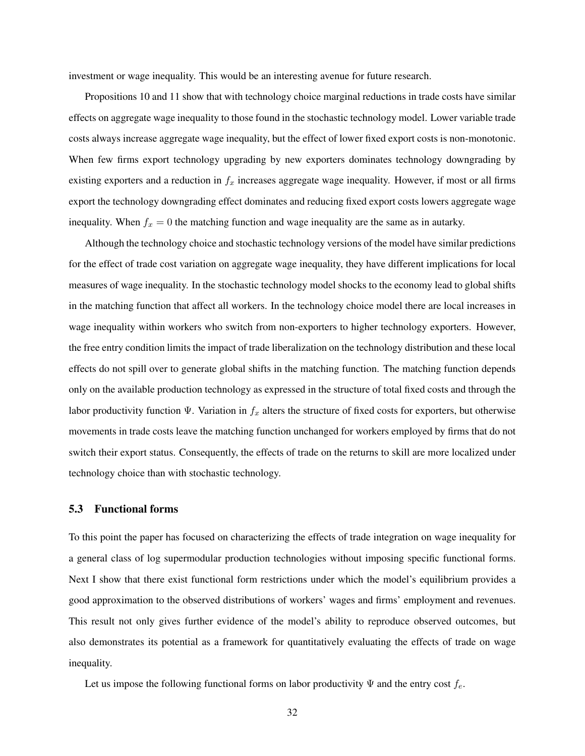investment or wage inequality. This would be an interesting avenue for future research.

Propositions 10 and 11 show that with technology choice marginal reductions in trade costs have similar effects on aggregate wage inequality to those found in the stochastic technology model. Lower variable trade costs always increase aggregate wage inequality, but the effect of lower fixed export costs is non-monotonic. When few firms export technology upgrading by new exporters dominates technology downgrading by existing exporters and a reduction in  $f_x$  increases aggregate wage inequality. However, if most or all firms export the technology downgrading effect dominates and reducing fixed export costs lowers aggregate wage inequality. When  $f_x = 0$  the matching function and wage inequality are the same as in autarky.

Although the technology choice and stochastic technology versions of the model have similar predictions for the effect of trade cost variation on aggregate wage inequality, they have different implications for local measures of wage inequality. In the stochastic technology model shocks to the economy lead to global shifts in the matching function that affect all workers. In the technology choice model there are local increases in wage inequality within workers who switch from non-exporters to higher technology exporters. However, the free entry condition limits the impact of trade liberalization on the technology distribution and these local effects do not spill over to generate global shifts in the matching function. The matching function depends only on the available production technology as expressed in the structure of total fixed costs and through the labor productivity function  $\Psi$ . Variation in  $f_x$  alters the structure of fixed costs for exporters, but otherwise movements in trade costs leave the matching function unchanged for workers employed by firms that do not switch their export status. Consequently, the effects of trade on the returns to skill are more localized under technology choice than with stochastic technology.

## 5.3 Functional forms

To this point the paper has focused on characterizing the effects of trade integration on wage inequality for a general class of log supermodular production technologies without imposing specific functional forms. Next I show that there exist functional form restrictions under which the model's equilibrium provides a good approximation to the observed distributions of workers' wages and firms' employment and revenues. This result not only gives further evidence of the model's ability to reproduce observed outcomes, but also demonstrates its potential as a framework for quantitatively evaluating the effects of trade on wage inequality.

Let us impose the following functional forms on labor productivity  $\Psi$  and the entry cost  $f_e$ .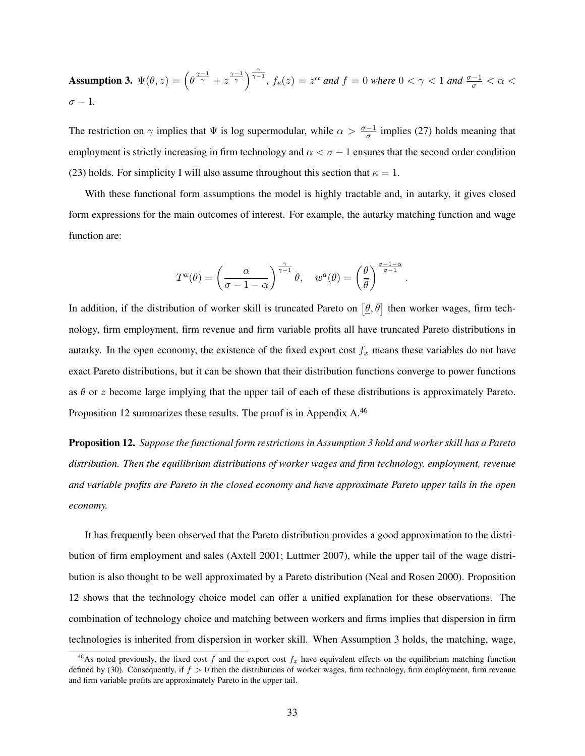Assumption 3.  $\Psi(\theta, z) = \left(\theta^{\frac{\gamma-1}{\gamma}} + z^{\frac{\gamma-1}{\gamma}}\right)^{\frac{\gamma}{\gamma-1}}$ ,  $f_e(z) = z^{\alpha}$  and  $f = 0$  where  $0 < \gamma < 1$  and  $\frac{\sigma-1}{\sigma} < \alpha <$  $\sigma - 1$ .

The restriction on  $\gamma$  implies that  $\Psi$  is log supermodular, while  $\alpha > \frac{\sigma-1}{\sigma}$  implies (27) holds meaning that employment is strictly increasing in firm technology and  $\alpha < \sigma - 1$  ensures that the second order condition (23) holds. For simplicity I will also assume throughout this section that  $\kappa = 1$ .

With these functional form assumptions the model is highly tractable and, in autarky, it gives closed form expressions for the main outcomes of interest. For example, the autarky matching function and wage function are:

$$
T^{a}(\theta) = \left(\frac{\alpha}{\sigma - 1 - \alpha}\right)^{\frac{\gamma}{\gamma - 1}} \theta, \quad w^{a}(\theta) = \left(\frac{\theta}{\bar{\theta}}\right)^{\frac{\sigma - 1 - \alpha}{\sigma - 1}}
$$

.

In addition, if the distribution of worker skill is truncated Pareto on  $[\theta, \bar{\theta}]$  then worker wages, firm technology, firm employment, firm revenue and firm variable profits all have truncated Pareto distributions in autarky. In the open economy, the existence of the fixed export cost  $f_x$  means these variables do not have exact Pareto distributions, but it can be shown that their distribution functions converge to power functions as  $\theta$  or z become large implying that the upper tail of each of these distributions is approximately Pareto. Proposition 12 summarizes these results. The proof is in Appendix A.<sup>46</sup>

Proposition 12. *Suppose the functional form restrictions in Assumption 3 hold and worker skill has a Pareto distribution. Then the equilibrium distributions of worker wages and firm technology, employment, revenue and variable profits are Pareto in the closed economy and have approximate Pareto upper tails in the open economy.*

It has frequently been observed that the Pareto distribution provides a good approximation to the distribution of firm employment and sales (Axtell 2001; Luttmer 2007), while the upper tail of the wage distribution is also thought to be well approximated by a Pareto distribution (Neal and Rosen 2000). Proposition 12 shows that the technology choice model can offer a unified explanation for these observations. The combination of technology choice and matching between workers and firms implies that dispersion in firm technologies is inherited from dispersion in worker skill. When Assumption 3 holds, the matching, wage,

<sup>&</sup>lt;sup>46</sup>As noted previously, the fixed cost f and the export cost  $f_x$  have equivalent effects on the equilibrium matching function defined by (30). Consequently, if  $f > 0$  then the distributions of worker wages, firm technology, firm employment, firm revenue and firm variable profits are approximately Pareto in the upper tail.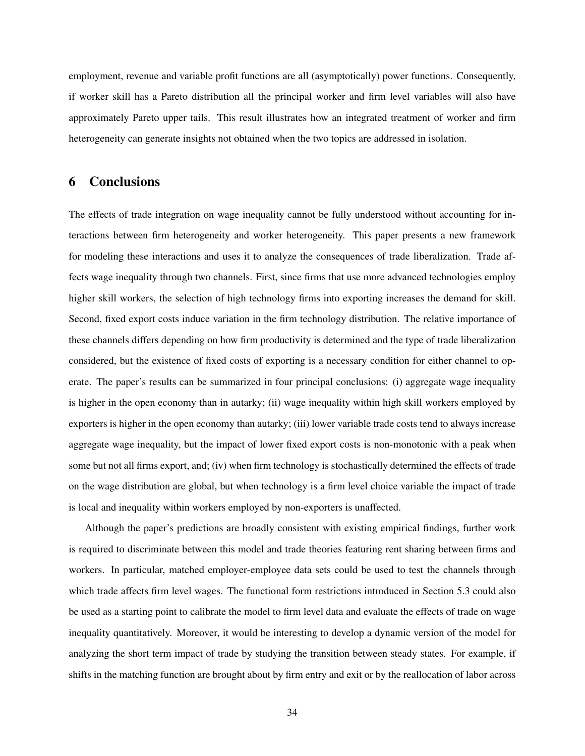employment, revenue and variable profit functions are all (asymptotically) power functions. Consequently, if worker skill has a Pareto distribution all the principal worker and firm level variables will also have approximately Pareto upper tails. This result illustrates how an integrated treatment of worker and firm heterogeneity can generate insights not obtained when the two topics are addressed in isolation.

## 6 Conclusions

The effects of trade integration on wage inequality cannot be fully understood without accounting for interactions between firm heterogeneity and worker heterogeneity. This paper presents a new framework for modeling these interactions and uses it to analyze the consequences of trade liberalization. Trade affects wage inequality through two channels. First, since firms that use more advanced technologies employ higher skill workers, the selection of high technology firms into exporting increases the demand for skill. Second, fixed export costs induce variation in the firm technology distribution. The relative importance of these channels differs depending on how firm productivity is determined and the type of trade liberalization considered, but the existence of fixed costs of exporting is a necessary condition for either channel to operate. The paper's results can be summarized in four principal conclusions: (i) aggregate wage inequality is higher in the open economy than in autarky; (ii) wage inequality within high skill workers employed by exporters is higher in the open economy than autarky; (iii) lower variable trade costs tend to always increase aggregate wage inequality, but the impact of lower fixed export costs is non-monotonic with a peak when some but not all firms export, and; (iv) when firm technology is stochastically determined the effects of trade on the wage distribution are global, but when technology is a firm level choice variable the impact of trade is local and inequality within workers employed by non-exporters is unaffected.

Although the paper's predictions are broadly consistent with existing empirical findings, further work is required to discriminate between this model and trade theories featuring rent sharing between firms and workers. In particular, matched employer-employee data sets could be used to test the channels through which trade affects firm level wages. The functional form restrictions introduced in Section 5.3 could also be used as a starting point to calibrate the model to firm level data and evaluate the effects of trade on wage inequality quantitatively. Moreover, it would be interesting to develop a dynamic version of the model for analyzing the short term impact of trade by studying the transition between steady states. For example, if shifts in the matching function are brought about by firm entry and exit or by the reallocation of labor across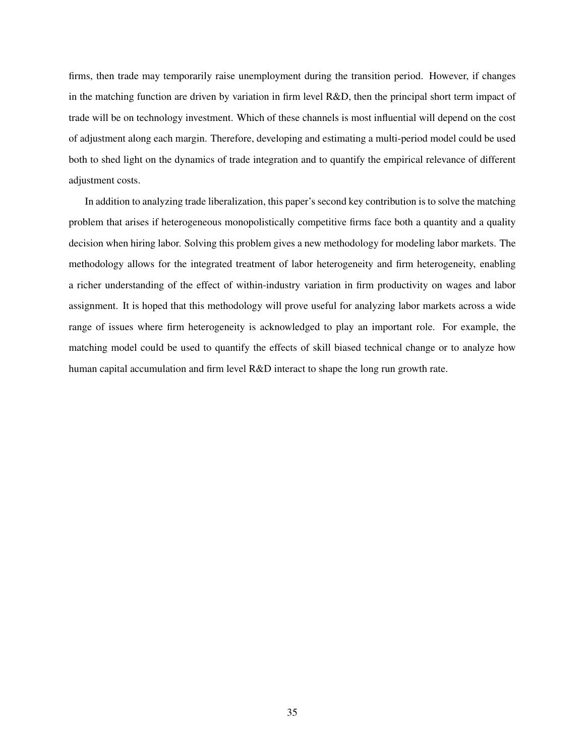firms, then trade may temporarily raise unemployment during the transition period. However, if changes in the matching function are driven by variation in firm level  $R&D$ , then the principal short term impact of trade will be on technology investment. Which of these channels is most influential will depend on the cost of adjustment along each margin. Therefore, developing and estimating a multi-period model could be used both to shed light on the dynamics of trade integration and to quantify the empirical relevance of different adjustment costs.

In addition to analyzing trade liberalization, this paper's second key contribution is to solve the matching problem that arises if heterogeneous monopolistically competitive firms face both a quantity and a quality decision when hiring labor. Solving this problem gives a new methodology for modeling labor markets. The methodology allows for the integrated treatment of labor heterogeneity and firm heterogeneity, enabling a richer understanding of the effect of within-industry variation in firm productivity on wages and labor assignment. It is hoped that this methodology will prove useful for analyzing labor markets across a wide range of issues where firm heterogeneity is acknowledged to play an important role. For example, the matching model could be used to quantify the effects of skill biased technical change or to analyze how human capital accumulation and firm level R&D interact to shape the long run growth rate.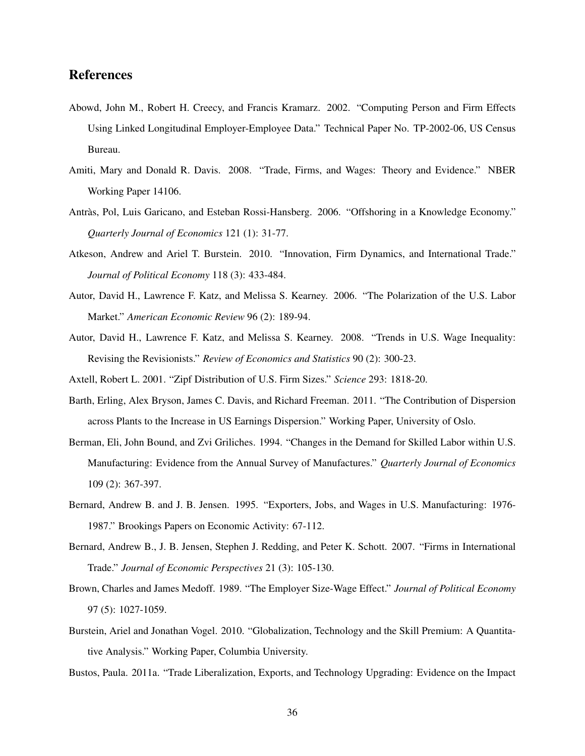## References

- Abowd, John M., Robert H. Creecy, and Francis Kramarz. 2002. "Computing Person and Firm Effects Using Linked Longitudinal Employer-Employee Data." Technical Paper No. TP-2002-06, US Census Bureau.
- Amiti, Mary and Donald R. Davis. 2008. "Trade, Firms, and Wages: Theory and Evidence." NBER Working Paper 14106.
- Antràs, Pol, Luis Garicano, and Esteban Rossi-Hansberg. 2006. "Offshoring in a Knowledge Economy." *Quarterly Journal of Economics* 121 (1): 31-77.
- Atkeson, Andrew and Ariel T. Burstein. 2010. "Innovation, Firm Dynamics, and International Trade." *Journal of Political Economy* 118 (3): 433-484.
- Autor, David H., Lawrence F. Katz, and Melissa S. Kearney. 2006. "The Polarization of the U.S. Labor Market." *American Economic Review* 96 (2): 189-94.
- Autor, David H., Lawrence F. Katz, and Melissa S. Kearney. 2008. "Trends in U.S. Wage Inequality: Revising the Revisionists." *Review of Economics and Statistics* 90 (2): 300-23.
- Axtell, Robert L. 2001. "Zipf Distribution of U.S. Firm Sizes." *Science* 293: 1818-20.
- Barth, Erling, Alex Bryson, James C. Davis, and Richard Freeman. 2011. "The Contribution of Dispersion across Plants to the Increase in US Earnings Dispersion." Working Paper, University of Oslo.
- Berman, Eli, John Bound, and Zvi Griliches. 1994. "Changes in the Demand for Skilled Labor within U.S. Manufacturing: Evidence from the Annual Survey of Manufactures." *Quarterly Journal of Economics* 109 (2): 367-397.
- Bernard, Andrew B. and J. B. Jensen. 1995. "Exporters, Jobs, and Wages in U.S. Manufacturing: 1976- 1987." Brookings Papers on Economic Activity: 67-112.
- Bernard, Andrew B., J. B. Jensen, Stephen J. Redding, and Peter K. Schott. 2007. "Firms in International Trade." *Journal of Economic Perspectives* 21 (3): 105-130.
- Brown, Charles and James Medoff. 1989. "The Employer Size-Wage Effect." *Journal of Political Economy* 97 (5): 1027-1059.
- Burstein, Ariel and Jonathan Vogel. 2010. "Globalization, Technology and the Skill Premium: A Quantitative Analysis." Working Paper, Columbia University.
- Bustos, Paula. 2011a. "Trade Liberalization, Exports, and Technology Upgrading: Evidence on the Impact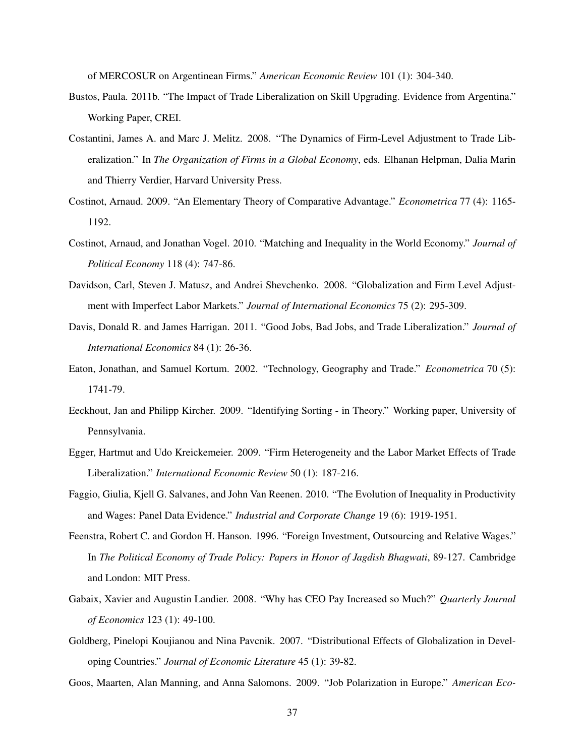of MERCOSUR on Argentinean Firms." *American Economic Review* 101 (1): 304-340.

- Bustos, Paula. 2011b. "The Impact of Trade Liberalization on Skill Upgrading. Evidence from Argentina." Working Paper, CREI.
- Costantini, James A. and Marc J. Melitz. 2008. "The Dynamics of Firm-Level Adjustment to Trade Liberalization." In *The Organization of Firms in a Global Economy*, eds. Elhanan Helpman, Dalia Marin and Thierry Verdier, Harvard University Press.
- Costinot, Arnaud. 2009. "An Elementary Theory of Comparative Advantage." *Econometrica* 77 (4): 1165- 1192.
- Costinot, Arnaud, and Jonathan Vogel. 2010. "Matching and Inequality in the World Economy." *Journal of Political Economy* 118 (4): 747-86.
- Davidson, Carl, Steven J. Matusz, and Andrei Shevchenko. 2008. "Globalization and Firm Level Adjustment with Imperfect Labor Markets." *Journal of International Economics* 75 (2): 295-309.
- Davis, Donald R. and James Harrigan. 2011. "Good Jobs, Bad Jobs, and Trade Liberalization." *Journal of International Economics* 84 (1): 26-36.
- Eaton, Jonathan, and Samuel Kortum. 2002. "Technology, Geography and Trade." *Econometrica* 70 (5): 1741-79.
- Eeckhout, Jan and Philipp Kircher. 2009. "Identifying Sorting in Theory." Working paper, University of Pennsylvania.
- Egger, Hartmut and Udo Kreickemeier. 2009. "Firm Heterogeneity and the Labor Market Effects of Trade Liberalization." *International Economic Review* 50 (1): 187-216.
- Faggio, Giulia, Kjell G. Salvanes, and John Van Reenen. 2010. "The Evolution of Inequality in Productivity and Wages: Panel Data Evidence." *Industrial and Corporate Change* 19 (6): 1919-1951.
- Feenstra, Robert C. and Gordon H. Hanson. 1996. "Foreign Investment, Outsourcing and Relative Wages." In *The Political Economy of Trade Policy: Papers in Honor of Jagdish Bhagwati*, 89-127. Cambridge and London: MIT Press.
- Gabaix, Xavier and Augustin Landier. 2008. "Why has CEO Pay Increased so Much?" *Quarterly Journal of Economics* 123 (1): 49-100.
- Goldberg, Pinelopi Koujianou and Nina Pavcnik. 2007. "Distributional Effects of Globalization in Developing Countries." *Journal of Economic Literature* 45 (1): 39-82.
- Goos, Maarten, Alan Manning, and Anna Salomons. 2009. "Job Polarization in Europe." *American Eco-*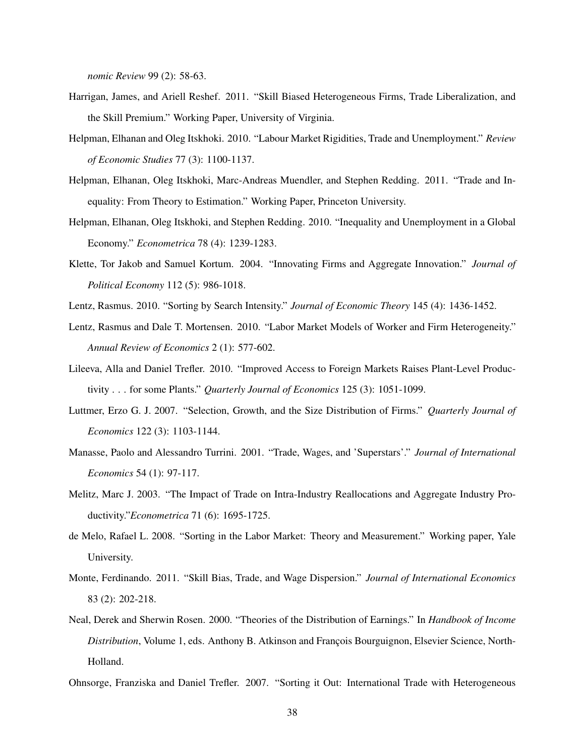*nomic Review* 99 (2): 58-63.

- Harrigan, James, and Ariell Reshef. 2011. "Skill Biased Heterogeneous Firms, Trade Liberalization, and the Skill Premium." Working Paper, University of Virginia.
- Helpman, Elhanan and Oleg Itskhoki. 2010. "Labour Market Rigidities, Trade and Unemployment." *Review of Economic Studies* 77 (3): 1100-1137.
- Helpman, Elhanan, Oleg Itskhoki, Marc-Andreas Muendler, and Stephen Redding. 2011. "Trade and Inequality: From Theory to Estimation." Working Paper, Princeton University.
- Helpman, Elhanan, Oleg Itskhoki, and Stephen Redding. 2010. "Inequality and Unemployment in a Global Economy." *Econometrica* 78 (4): 1239-1283.
- Klette, Tor Jakob and Samuel Kortum. 2004. "Innovating Firms and Aggregate Innovation." *Journal of Political Economy* 112 (5): 986-1018.
- Lentz, Rasmus. 2010. "Sorting by Search Intensity." *Journal of Economic Theory* 145 (4): 1436-1452.
- Lentz, Rasmus and Dale T. Mortensen. 2010. "Labor Market Models of Worker and Firm Heterogeneity." *Annual Review of Economics* 2 (1): 577-602.
- Lileeva, Alla and Daniel Trefler. 2010. "Improved Access to Foreign Markets Raises Plant-Level Productivity . . . for some Plants." *Quarterly Journal of Economics* 125 (3): 1051-1099.
- Luttmer, Erzo G. J. 2007. "Selection, Growth, and the Size Distribution of Firms." *Quarterly Journal of Economics* 122 (3): 1103-1144.
- Manasse, Paolo and Alessandro Turrini. 2001. "Trade, Wages, and 'Superstars'." *Journal of International Economics* 54 (1): 97-117.
- Melitz, Marc J. 2003. "The Impact of Trade on Intra-Industry Reallocations and Aggregate Industry Productivity."*Econometrica* 71 (6): 1695-1725.
- de Melo, Rafael L. 2008. "Sorting in the Labor Market: Theory and Measurement." Working paper, Yale University.
- Monte, Ferdinando. 2011. "Skill Bias, Trade, and Wage Dispersion." *Journal of International Economics* 83 (2): 202-218.
- Neal, Derek and Sherwin Rosen. 2000. "Theories of the Distribution of Earnings." In *Handbook of Income Distribution*, Volume 1, eds. Anthony B. Atkinson and François Bourguignon, Elsevier Science, North-Holland.
- Ohnsorge, Franziska and Daniel Trefler. 2007. "Sorting it Out: International Trade with Heterogeneous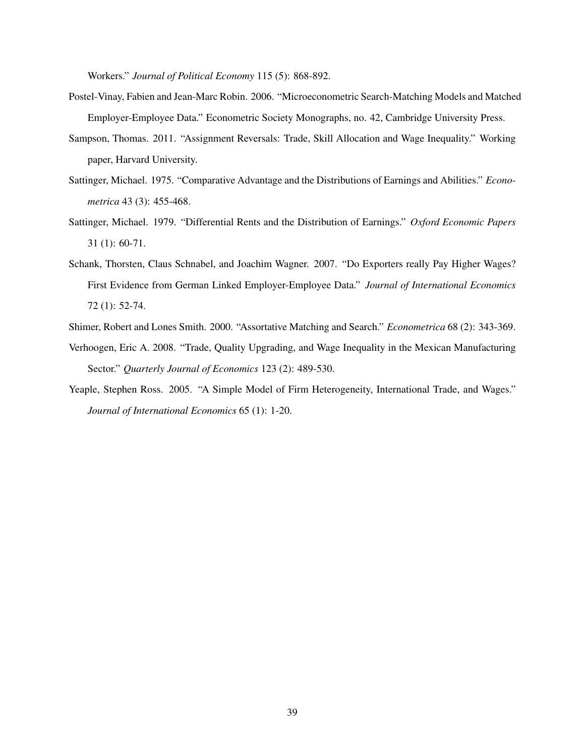Workers." *Journal of Political Economy* 115 (5): 868-892.

- Postel-Vinay, Fabien and Jean-Marc Robin. 2006. "Microeconometric Search-Matching Models and Matched Employer-Employee Data." Econometric Society Monographs, no. 42, Cambridge University Press.
- Sampson, Thomas. 2011. "Assignment Reversals: Trade, Skill Allocation and Wage Inequality." Working paper, Harvard University.
- Sattinger, Michael. 1975. "Comparative Advantage and the Distributions of Earnings and Abilities." *Econometrica* 43 (3): 455-468.
- Sattinger, Michael. 1979. "Differential Rents and the Distribution of Earnings." *Oxford Economic Papers* 31 (1): 60-71.
- Schank, Thorsten, Claus Schnabel, and Joachim Wagner. 2007. "Do Exporters really Pay Higher Wages? First Evidence from German Linked Employer-Employee Data." *Journal of International Economics* 72 (1): 52-74.
- Shimer, Robert and Lones Smith. 2000. "Assortative Matching and Search." *Econometrica* 68 (2): 343-369.
- Verhoogen, Eric A. 2008. "Trade, Quality Upgrading, and Wage Inequality in the Mexican Manufacturing Sector." *Quarterly Journal of Economics* 123 (2): 489-530.
- Yeaple, Stephen Ross. 2005. "A Simple Model of Firm Heterogeneity, International Trade, and Wages." *Journal of International Economics* 65 (1): 1-20.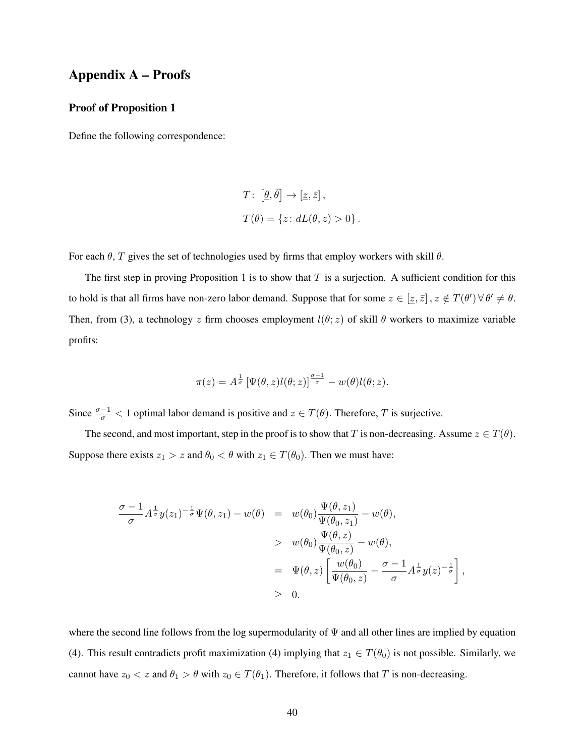# Appendix A – Proofs

## Proof of Proposition 1

Define the following correspondence:

$$
T: [\underline{\theta}, \overline{\theta}] \to [\underline{z}, \overline{z}],
$$
  

$$
T(\theta) = \{z: dL(\theta, z) > 0\}.
$$

For each  $\theta$ , T gives the set of technologies used by firms that employ workers with skill  $\theta$ .

The first step in proving Proposition 1 is to show that  $T$  is a surjection. A sufficient condition for this to hold is that all firms have non-zero labor demand. Suppose that for some  $z \in [z, \bar{z}]$ ,  $z \notin T(\theta') \forall \theta' \neq \theta$ . Then, from (3), a technology z firm chooses employment  $l(\theta; z)$  of skill  $\theta$  workers to maximize variable profits:

$$
\pi(z) = A^{\frac{1}{\sigma}} \left[ \Psi(\theta, z) l(\theta; z) \right]^{\frac{\sigma - 1}{\sigma}} - w(\theta) l(\theta; z).
$$

Since  $\frac{\sigma-1}{\sigma}$  < 1 optimal labor demand is positive and  $z \in T(\theta)$ . Therefore, T is surjective.

The second, and most important, step in the proof is to show that T is non-decreasing. Assume  $z \in T(\theta)$ . Suppose there exists  $z_1 > z$  and  $\theta_0 < \theta$  with  $z_1 \in T(\theta_0)$ . Then we must have:

$$
\frac{\sigma - 1}{\sigma} A^{\frac{1}{\sigma}} y(z_1)^{-\frac{1}{\sigma}} \Psi(\theta, z_1) - w(\theta) = w(\theta_0) \frac{\Psi(\theta, z_1)}{\Psi(\theta_0, z_1)} - w(\theta),
$$
  
> 
$$
w(\theta_0) \frac{\Psi(\theta, z)}{\Psi(\theta_0, z)} - w(\theta),
$$
  
= 
$$
\Psi(\theta, z) \left[ \frac{w(\theta_0)}{\Psi(\theta_0, z)} - \frac{\sigma - 1}{\sigma} A^{\frac{1}{\sigma}} y(z)^{-\frac{1}{\sigma}} \right]
$$
  
\$\geq 0.

,

where the second line follows from the log supermodularity of  $\Psi$  and all other lines are implied by equation (4). This result contradicts profit maximization (4) implying that  $z_1 \in T(\theta_0)$  is not possible. Similarly, we cannot have  $z_0 < z$  and  $\theta_1 > \theta$  with  $z_0 \in T(\theta_1)$ . Therefore, it follows that T is non-decreasing.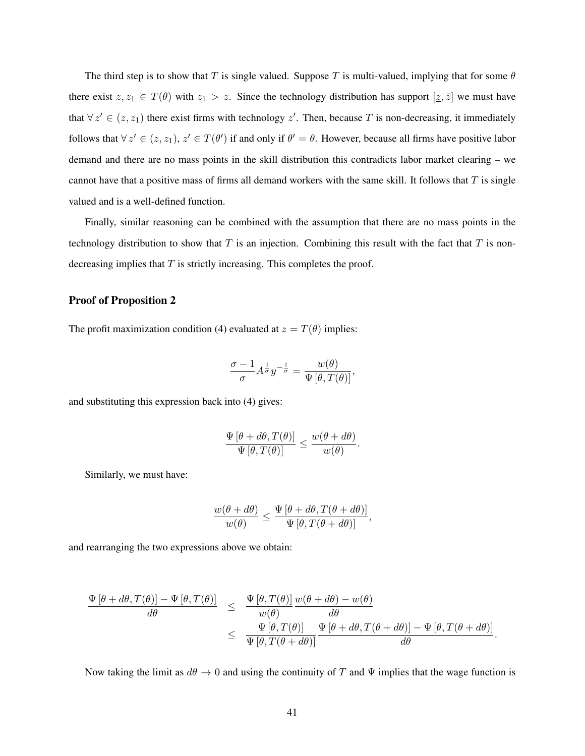The third step is to show that T is single valued. Suppose T is multi-valued, implying that for some  $\theta$ there exist  $z, z_1 \in T(\theta)$  with  $z_1 > z$ . Since the technology distribution has support  $[\underline{z}, \overline{z}]$  we must have that  $\forall z' \in (z, z_1)$  there exist firms with technology  $z'$ . Then, because T is non-decreasing, it immediately follows that  $\forall z' \in (z, z_1), z' \in T(\theta')$  if and only if  $\theta' = \theta$ . However, because all firms have positive labor demand and there are no mass points in the skill distribution this contradicts labor market clearing – we cannot have that a positive mass of firms all demand workers with the same skill. It follows that  $T$  is single valued and is a well-defined function.

Finally, similar reasoning can be combined with the assumption that there are no mass points in the technology distribution to show that  $T$  is an injection. Combining this result with the fact that  $T$  is nondecreasing implies that  $T$  is strictly increasing. This completes the proof.

## Proof of Proposition 2

The profit maximization condition (4) evaluated at  $z = T(\theta)$  implies:

$$
\frac{\sigma - 1}{\sigma} A^{\frac{1}{\sigma}} y^{-\frac{1}{\sigma}} = \frac{w(\theta)}{\Psi[\theta, T(\theta)]},
$$

and substituting this expression back into (4) gives:

$$
\frac{\Psi[\theta + d\theta, T(\theta)]}{\Psi[\theta, T(\theta)]} \le \frac{w(\theta + d\theta)}{w(\theta)}.
$$

Similarly, we must have:

$$
\frac{w(\theta+d\theta)}{w(\theta)} \le \frac{\Psi[\theta+d\theta, T(\theta+d\theta)]}{\Psi[\theta, T(\theta+d\theta)]},
$$

and rearranging the two expressions above we obtain:

$$
\frac{\Psi[\theta + d\theta, T(\theta)] - \Psi[\theta, T(\theta)]}{d\theta} \leq \frac{\Psi[\theta, T(\theta)]}{w(\theta)} \frac{w(\theta + d\theta) - w(\theta)}{d\theta}
$$
\n
$$
\leq \frac{\Psi[\theta, T(\theta)]}{\Psi[\theta, T(\theta + d\theta)]} \frac{\Psi[\theta + d\theta, T(\theta + d\theta)] - \Psi[\theta, T(\theta + d\theta)]}{d\theta}.
$$

Now taking the limit as  $d\theta \to 0$  and using the continuity of T and  $\Psi$  implies that the wage function is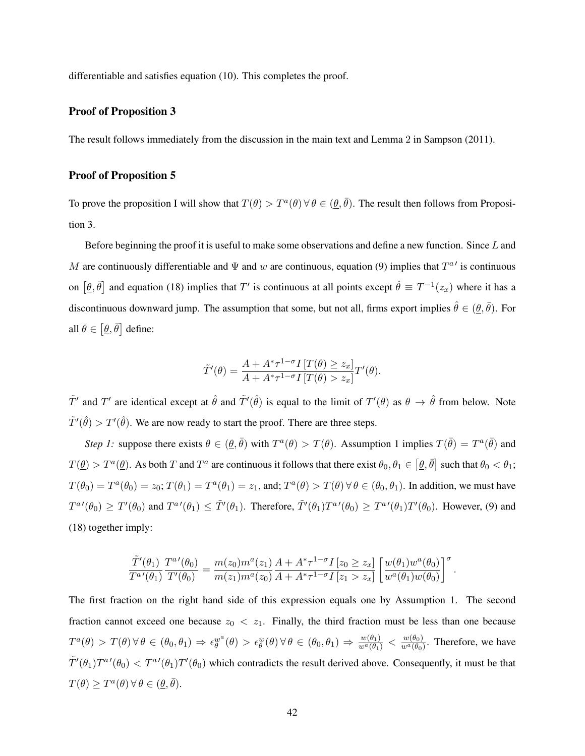differentiable and satisfies equation (10). This completes the proof.

### Proof of Proposition 3

The result follows immediately from the discussion in the main text and Lemma 2 in Sampson (2011).

## Proof of Proposition 5

To prove the proposition I will show that  $T(\theta) > T^{\alpha}(\theta)$   $\forall \theta \in (\underline{\theta}, \overline{\theta})$ . The result then follows from Proposition 3.

Before beginning the proof it is useful to make some observations and define a new function. Since L and M are continuously differentiable and  $\Psi$  and w are continuous, equation (9) implies that  $T^{a}{}'$  is continuous on  $[\theta, \bar{\theta}]$  and equation (18) implies that T' is continuous at all points except  $\hat{\theta} \equiv T^{-1}(z_x)$  where it has a discontinuous downward jump. The assumption that some, but not all, firms export implies  $\hat{\theta} \in (\underline{\theta}, \bar{\theta})$ . For all  $\theta \in [\underline{\theta}, \overline{\theta}]$  define:

$$
\tilde{T}'(\theta) = \frac{A + A^* \tau^{1-\sigma} I \left[ T(\theta) \geq z_x \right]}{A + A^* \tau^{1-\sigma} I \left[ T(\theta) > z_x \right]} T'(\theta).
$$

 $\tilde{T}'$  and T' are identical except at  $\hat{\theta}$  and  $\tilde{T}'(\hat{\theta})$  is equal to the limit of  $T'(\theta)$  as  $\theta \to \hat{\theta}$  from below. Note  $\tilde{T}'(\hat{\theta}) > T'(\hat{\theta})$ . We are now ready to start the proof. There are three steps.

*Step 1:* suppose there exists  $\theta \in (\theta, \bar{\theta})$  with  $T^a(\theta) > T(\theta)$ . Assumption 1 implies  $T(\bar{\theta}) = T^a(\bar{\theta})$  and  $T(\underline{\theta}) > T^a(\underline{\theta})$ . As both T and  $T^a$  are continuous it follows that there exist  $\theta_0, \theta_1 \in [\underline{\theta}, \overline{\theta}]$  such that  $\theta_0 < \theta_1$ ;  $T(\theta_0) = T^a(\theta_0) = z_0$ ;  $T(\theta_1) = T^a(\theta_1) = z_1$ , and;  $T^a(\theta) > T(\theta) \forall \theta \in (\theta_0, \theta_1)$ . In addition, we must have  $T^{a}(\theta_0) \ge T'(\theta_0)$  and  $T^{a}(\theta_1) \le \tilde{T}'(\theta_1)$ . Therefore,  $\tilde{T}'(\theta_1)T^{a}(\theta_0) \ge T^{a}(\theta_1)T'(\theta_0)$ . However, (9) and (18) together imply:

$$
\frac{\tilde T'(\theta_1)}{T^{a'}(\theta_1)} \frac{T^{a'}(\theta_0)}{T'(\theta_0)} = \frac{m(z_0)m^a(z_1)}{m(z_1)m^a(z_0)} \frac{A + A^*\tau^{1-\sigma}I\left[z_0 \geq z_x\right]}{A + A^*\tau^{1-\sigma}I\left[z_1 > z_x\right]} \left[\frac{w(\theta_1)w^a(\theta_0)}{w^a(\theta_1)w(\theta_0)}\right]^{\sigma}.
$$

The first fraction on the right hand side of this expression equals one by Assumption 1. The second fraction cannot exceed one because  $z_0 < z_1$ . Finally, the third fraction must be less than one because  $T^a(\theta) > T(\theta) \forall \theta \in (\theta_0, \theta_1) \Rightarrow \epsilon_{\theta}^{w^a}(\theta) > \epsilon_{\theta}^{w}(\theta) \forall \theta \in (\theta_0, \theta_1) \Rightarrow \frac{w(\theta_1)}{w^a(\theta_1)} < \frac{w(\theta_0)}{w^a(\theta_0)}$  $\frac{w(\theta_0)}{w^a(\theta_0)}$ . Therefore, we have  $\tilde{T}'(\theta_1)T^{a}(\theta_0) < T^{a}(\theta_1)T'(\theta_0)$  which contradicts the result derived above. Consequently, it must be that  $T(\theta) \geq T^a(\theta) \,\forall \,\theta \in (\underline{\theta}, \overline{\theta}).$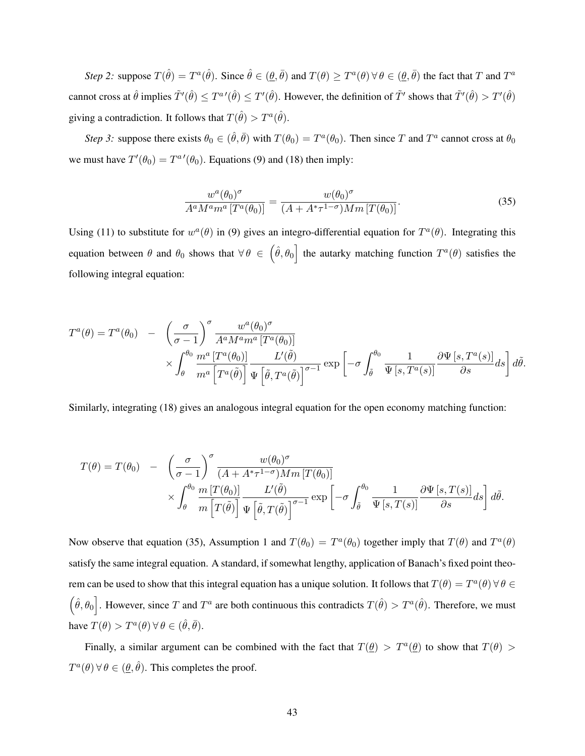*Step 2:* suppose  $T(\hat{\theta}) = T^a(\hat{\theta})$ . Since  $\hat{\theta} \in (\underline{\theta}, \overline{\theta})$  and  $T(\theta) \geq T^a(\theta) \forall \theta \in (\underline{\theta}, \overline{\theta})$  the fact that T and  $T^a$ cannot cross at  $\hat{\theta}$  implies  $\tilde{T}'(\hat{\theta}) \leq T'(\hat{\theta})$ . However, the definition of  $\tilde{T}'$  shows that  $\tilde{T}'(\hat{\theta}) > T'(\hat{\theta})$ giving a contradiction. It follows that  $T(\hat{\theta}) > T^a(\hat{\theta})$ .

*Step 3:* suppose there exists  $\theta_0 \in (\hat{\theta}, \bar{\theta})$  with  $T(\theta_0) = T^a(\theta_0)$ . Then since T and  $T^a$  cannot cross at  $\theta_0$ we must have  $T'(\theta_0) = T^{a}(\theta_0)$ . Equations (9) and (18) then imply:

$$
\frac{w^a(\theta_0)^\sigma}{A^a M^a m^a \left[T^a(\theta_0)\right]} = \frac{w(\theta_0)^\sigma}{(A + A^* \tau^{1-\sigma}) M m \left[T(\theta_0)\right]}.
$$
\n(35)

Using (11) to substitute for  $w^a(\theta)$  in (9) gives an integro-differential equation for  $T^a(\theta)$ . Integrating this equation between  $\theta$  and  $\theta_0$  shows that  $\forall \theta \in (\hat{\theta}, \theta_0]$  the autarky matching function  $T^a(\theta)$  satisfies the following integral equation:

$$
T^{a}(\theta) = T^{a}(\theta_{0}) - \left(\frac{\sigma}{\sigma - 1}\right)^{\sigma} \frac{w^{a}(\theta_{0})^{\sigma}}{A^{a}M^{a}m^{a}[T^{a}(\theta_{0})]}
$$

$$
\times \int_{\theta}^{\theta_{0}} \frac{m^{a}[T^{a}(\theta_{0})]}{m^{a}[T^{a}(\tilde{\theta})]} \frac{L'(\tilde{\theta})}{\Psi\left[\tilde{\theta}, T^{a}(\tilde{\theta})\right]^{\sigma - 1}} \exp\left[-\sigma \int_{\tilde{\theta}}^{\theta_{0}} \frac{1}{\Psi\left[s, T^{a}(s)\right]} \frac{\partial \Psi\left[s, T^{a}(s)\right]}{\partial s} ds\right] d\tilde{\theta}.
$$

Similarly, integrating (18) gives an analogous integral equation for the open economy matching function:

$$
T(\theta) = T(\theta_0) - \left(\frac{\sigma}{\sigma - 1}\right)^{\sigma} \frac{w(\theta_0)^{\sigma}}{(A + A^*\tau^{1-\sigma})Mm[T(\theta_0)]} \times \int_{\theta}^{\theta_0} \frac{m[T(\theta_0)]}{m[T(\tilde{\theta})]} \frac{L'(\tilde{\theta})}{\Psi\left[\tilde{\theta}, T(\tilde{\theta})\right]^{\sigma - 1}} \exp\left[-\sigma \int_{\tilde{\theta}}^{\theta_0} \frac{1}{\Psi\left[s, T(s)\right]} \frac{\partial \Psi\left[s, T(s)\right]}{\partial s} ds\right] d\tilde{\theta}.
$$

Now observe that equation (35), Assumption 1 and  $T(\theta_0) = T^a(\theta_0)$  together imply that  $T(\theta)$  and  $T^a(\theta)$ satisfy the same integral equation. A standard, if somewhat lengthy, application of Banach's fixed point theorem can be used to show that this integral equation has a unique solution. It follows that  $T(\theta) = T^a(\theta) \,\forall \,\theta \in \mathbb{R}$  $(\hat{\theta}, \theta_0]$ . However, since T and T<sup>a</sup> are both continuous this contradicts  $T(\hat{\theta}) > T^a(\hat{\theta})$ . Therefore, we must have  $T(\theta) > T^a(\theta) \,\forall \,\theta \in (\hat{\theta}, \bar{\theta}).$ 

Finally, a similar argument can be combined with the fact that  $T(\theta) > T^a(\theta)$  to show that  $T(\theta) >$  $T^a(\theta)$   $\forall \theta \in (\underline{\theta}, \hat{\theta})$ . This completes the proof.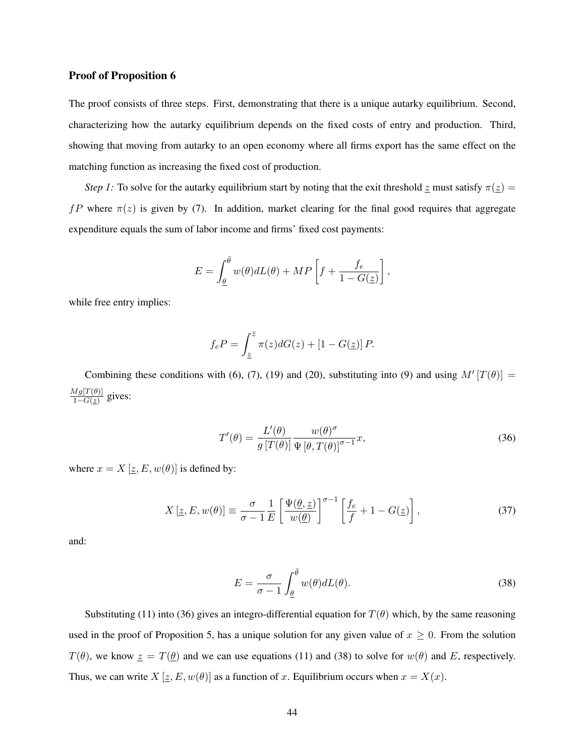#### Proof of Proposition 6

The proof consists of three steps. First, demonstrating that there is a unique autarky equilibrium. Second, characterizing how the autarky equilibrium depends on the fixed costs of entry and production. Third, showing that moving from autarky to an open economy where all firms export has the same effect on the matching function as increasing the fixed cost of production.

*Step 1:* To solve for the autarky equilibrium start by noting that the exit threshold  $\tilde{z}$  must satisfy  $\pi(\tilde{z})$  = fP where  $\pi(z)$  is given by (7). In addition, market clearing for the final good requires that aggregate expenditure equals the sum of labor income and firms' fixed cost payments:

$$
E = \int_{\underline{\theta}}^{\overline{\theta}} w(\theta) dL(\theta) + MP\left[f + \frac{f_e}{1 - G(\underline{z})}\right],
$$

while free entry implies:

$$
f_e P = \int_{\underline{z}}^{\overline{z}} \pi(z) dG(z) + [1 - G(\underline{z})] P.
$$

Combining these conditions with (6), (7), (19) and (20), substituting into (9) and using  $M'[T(\theta)] =$  $Mg[T(\theta)]$  $\frac{\frac{y_1 g_1 I(\theta)}{g_1}}{1-G(z)}$  gives:

$$
T'(\theta) = \frac{L'(\theta)}{g \left[ T(\theta) \right] \Psi \left[ \theta, T(\theta) \right]^{\sigma - 1}} x,
$$
\n(36)

where  $x = X [z, E, w(\theta)]$  is defined by:

$$
X\left[\underline{z}, E, w(\theta)\right] \equiv \frac{\sigma}{\sigma - 1} \frac{1}{E} \left[\frac{\Psi(\underline{\theta}, \underline{z})}{w(\underline{\theta})}\right]^{\sigma - 1} \left[\frac{f_e}{f} + 1 - G(\underline{z})\right],\tag{37}
$$

and:

$$
E = \frac{\sigma}{\sigma - 1} \int_{\underline{\theta}}^{\overline{\theta}} w(\theta) dL(\theta).
$$
 (38)

Substituting (11) into (36) gives an integro-differential equation for  $T(\theta)$  which, by the same reasoning used in the proof of Proposition 5, has a unique solution for any given value of  $x \geq 0$ . From the solution  $T(\theta)$ , we know  $z = T(\theta)$  and we can use equations (11) and (38) to solve for  $w(\theta)$  and E, respectively. Thus, we can write  $X \left[ \underline{z}, E, w(\theta) \right]$  as a function of x. Equilibrium occurs when  $x = X(x)$ .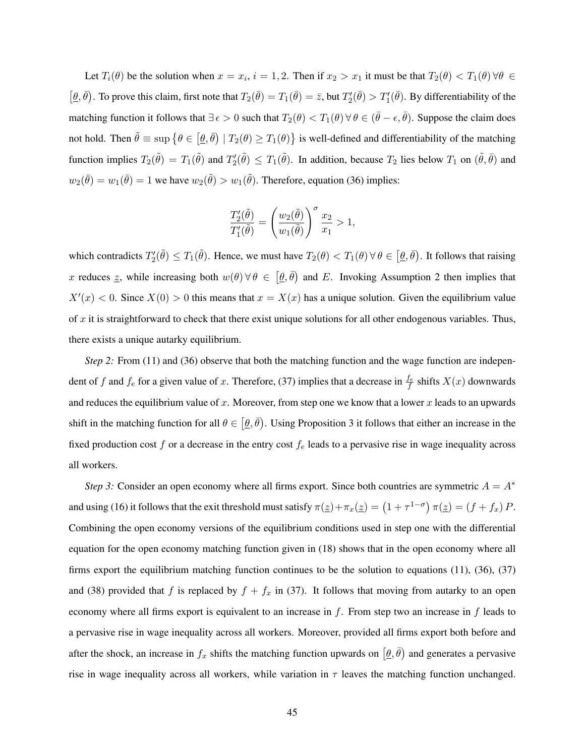Let  $T_i(\theta)$  be the solution when  $x = x_i$ ,  $i = 1, 2$ . Then if  $x_2 > x_1$  it must be that  $T_2(\theta) < T_1(\theta) \forall \theta \in$  $[\underline{\theta}, \overline{\theta})$ . To prove this claim, first note that  $T_2(\overline{\theta}) = T_1(\overline{\theta}) = \overline{z}$ , but  $T_2'(\overline{\theta}) > T_1'(\overline{\theta})$ . By differentiability of the matching function it follows that  $\exists \epsilon > 0$  such that  $T_2(\theta) < T_1(\theta) \,\forall \theta \in (\bar{\theta} - \epsilon, \bar{\theta})$ . Suppose the claim does not hold. Then  $\tilde{\theta} \equiv \sup \{ \theta \in [\theta, \bar{\theta}) \mid T_2(\theta) \ge T_1(\theta) \}$  is well-defined and differentiability of the matching function implies  $T_2(\tilde{\theta}) = T_1(\tilde{\theta})$  and  $T_2'(\tilde{\theta}) \le T_1(\tilde{\theta})$ . In addition, because  $T_2$  lies below  $T_1$  on  $(\tilde{\theta}, \tilde{\theta})$  and  $w_2(\bar{\theta}) = w_1(\bar{\theta}) = 1$  we have  $w_2(\tilde{\theta}) > w_1(\tilde{\theta})$ . Therefore, equation (36) implies:

$$
\frac{T_2'(\tilde{\theta})}{T_1'(\tilde{\theta})} = \left(\frac{w_2(\tilde{\theta})}{w_1(\tilde{\theta})}\right)^{\sigma} \frac{x_2}{x_1} > 1,
$$

which contradicts  $T_2'(\tilde{\theta}) \le T_1(\tilde{\theta})$ . Hence, we must have  $T_2(\theta) < T_1(\theta)$   $\forall \theta \in [\theta, \bar{\theta})$ . It follows that raising x reduces z, while increasing both  $w(\theta) \forall \theta \in [\theta, \overline{\theta})$  and E. Invoking Assumption 2 then implies that  $X'(x) < 0$ . Since  $X(0) > 0$  this means that  $x = X(x)$  has a unique solution. Given the equilibrium value of  $x$  it is straightforward to check that there exist unique solutions for all other endogenous variables. Thus, there exists a unique autarky equilibrium.

*Step 2:* From (11) and (36) observe that both the matching function and the wage function are independent of f and  $f_e$  for a given value of x. Therefore, (37) implies that a decrease in  $\frac{f_e}{f}$  shifts  $X(x)$  downwards and reduces the equilibrium value of x. Moreover, from step one we know that a lower x leads to an upwards shift in the matching function for all  $\theta \in [\theta, \bar{\theta})$ . Using Proposition 3 it follows that either an increase in the fixed production cost  $f$  or a decrease in the entry cost  $f_e$  leads to a pervasive rise in wage inequality across all workers.

*Step 3:* Consider an open economy where all firms export. Since both countries are symmetric  $A = A^*$ and using (16) it follows that the exit threshold must satisfy  $\pi(\underline{z}) + \pi_x(\underline{z}) = (1 + \tau^{1-\sigma}) \pi(\underline{z}) = (f + f_x) P$ . Combining the open economy versions of the equilibrium conditions used in step one with the differential equation for the open economy matching function given in (18) shows that in the open economy where all firms export the equilibrium matching function continues to be the solution to equations (11), (36), (37) and (38) provided that f is replaced by  $f + f_x$  in (37). It follows that moving from autarky to an open economy where all firms export is equivalent to an increase in  $f$ . From step two an increase in  $f$  leads to a pervasive rise in wage inequality across all workers. Moreover, provided all firms export both before and after the shock, an increase in  $f_x$  shifts the matching function upwards on  $(\underline{\theta}, \overline{\theta})$  and generates a pervasive rise in wage inequality across all workers, while variation in  $\tau$  leaves the matching function unchanged.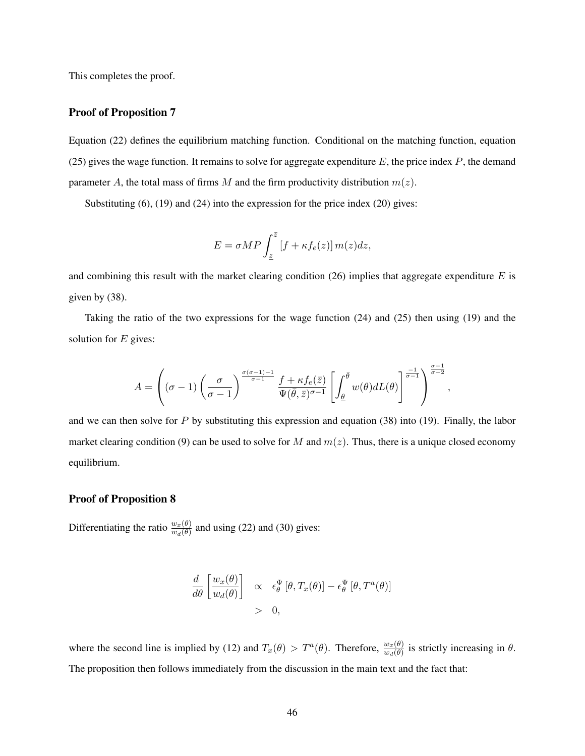This completes the proof.

## Proof of Proposition 7

Equation (22) defines the equilibrium matching function. Conditional on the matching function, equation (25) gives the wage function. It remains to solve for aggregate expenditure  $E$ , the price index  $P$ , the demand parameter A, the total mass of firms M and the firm productivity distribution  $m(z)$ .

Substituting (6), (19) and (24) into the expression for the price index (20) gives:

$$
E = \sigma MP \int_{\underline{z}}^{\overline{z}} [f + \kappa f_e(z)] m(z) dz,
$$

and combining this result with the market clearing condition  $(26)$  implies that aggregate expenditure E is given by (38).

Taking the ratio of the two expressions for the wage function (24) and (25) then using (19) and the solution for  $E$  gives:

$$
A = \left( (\sigma - 1) \left( \frac{\sigma}{\sigma - 1} \right)^{\frac{\sigma(\sigma - 1) - 1}{\sigma - 1}} \frac{f + \kappa f_e(\bar{z})}{\Psi(\bar{\theta}, \bar{z})^{\sigma - 1}} \left[ \int_{\underline{\theta}}^{\bar{\theta}} w(\theta) dL(\theta) \right]^{\frac{-1}{\sigma - 1}} \right)^{\frac{\sigma - 1}{\sigma - 2}},
$$

and we can then solve for  $P$  by substituting this expression and equation (38) into (19). Finally, the labor market clearing condition (9) can be used to solve for M and  $m(z)$ . Thus, there is a unique closed economy equilibrium.

#### Proof of Proposition 8

Differentiating the ratio  $\frac{w_x(\theta)}{w_d(\theta)}$  and using (22) and (30) gives:

$$
\frac{d}{d\theta} \left[ \frac{w_x(\theta)}{w_d(\theta)} \right] \propto \epsilon_{\theta}^{\Psi} [\theta, T_x(\theta)] - \epsilon_{\theta}^{\Psi} [\theta, T^a(\theta)]
$$
  
> 0,

where the second line is implied by (12) and  $T_x(\theta) > T^{\alpha}(\theta)$ . Therefore,  $\frac{w_x(\theta)}{w_d(\theta)}$  is strictly increasing in  $\theta$ . The proposition then follows immediately from the discussion in the main text and the fact that: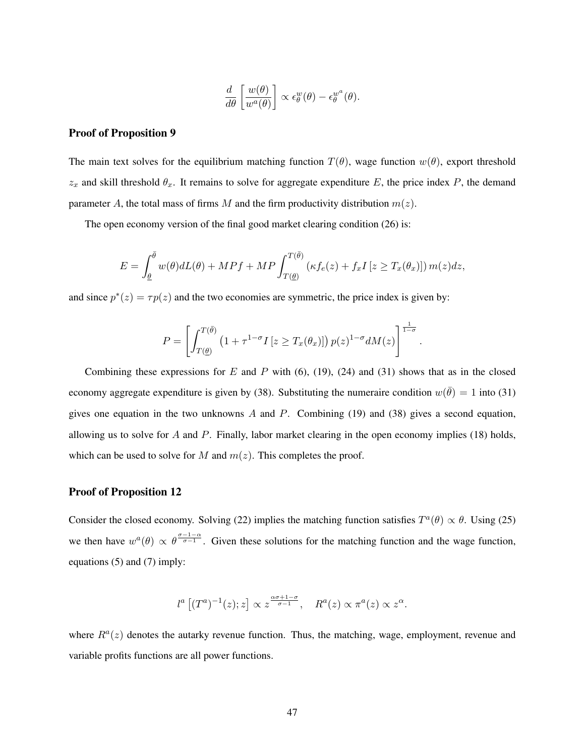$$
\frac{d}{d\theta} \left[ \frac{w(\theta)}{w^a(\theta)} \right] \propto \epsilon_\theta^w(\theta) - \epsilon_\theta^{w^a}(\theta).
$$

## Proof of Proposition 9

The main text solves for the equilibrium matching function  $T(\theta)$ , wage function  $w(\theta)$ , export threshold  $z_x$  and skill threshold  $\theta_x$ . It remains to solve for aggregate expenditure E, the price index P, the demand parameter A, the total mass of firms M and the firm productivity distribution  $m(z)$ .

The open economy version of the final good market clearing condition (26) is:

$$
E = \int_{\underline{\theta}}^{\overline{\theta}} w(\theta) dL(\theta) + M P f + M P \int_{T(\underline{\theta})}^{T(\overline{\theta})} \left( \kappa f_e(z) + f_x I \left[ z \ge T_x(\theta_x) \right] \right) m(z) dz,
$$

and since  $p^*(z) = \tau p(z)$  and the two economies are symmetric, the price index is given by:

$$
P = \left[ \int_{T(\underline{\theta})}^{T(\overline{\theta})} \left( 1 + \tau^{1-\sigma} I \left[ z \ge T_x(\theta_x) \right] \right) p(z)^{1-\sigma} dM(z) \right]^{\frac{1}{1-\sigma}}.
$$

Combining these expressions for E and P with  $(6)$ ,  $(19)$ ,  $(24)$  and  $(31)$  shows that as in the closed economy aggregate expenditure is given by (38). Substituting the numeraire condition  $w(\bar{\theta}) = 1$  into (31) gives one equation in the two unknowns  $A$  and  $P$ . Combining (19) and (38) gives a second equation, allowing us to solve for  $A$  and  $P$ . Finally, labor market clearing in the open economy implies (18) holds, which can be used to solve for M and  $m(z)$ . This completes the proof.

#### Proof of Proposition 12

Consider the closed economy. Solving (22) implies the matching function satisfies  $T^a(\theta) \propto \theta$ . Using (25) we then have  $w^a(\theta) \propto \theta^{\frac{\sigma-1-\alpha}{\sigma-1}}$ . Given these solutions for the matching function and the wage function, equations (5) and (7) imply:

$$
l^a \left[ (T^a)^{-1}(z); z \right] \propto z^{\frac{\alpha \sigma + 1 - \sigma}{\sigma - 1}}, \quad R^a(z) \propto \pi^a(z) \propto z^{\alpha}.
$$

where  $R^a(z)$  denotes the autarky revenue function. Thus, the matching, wage, employment, revenue and variable profits functions are all power functions.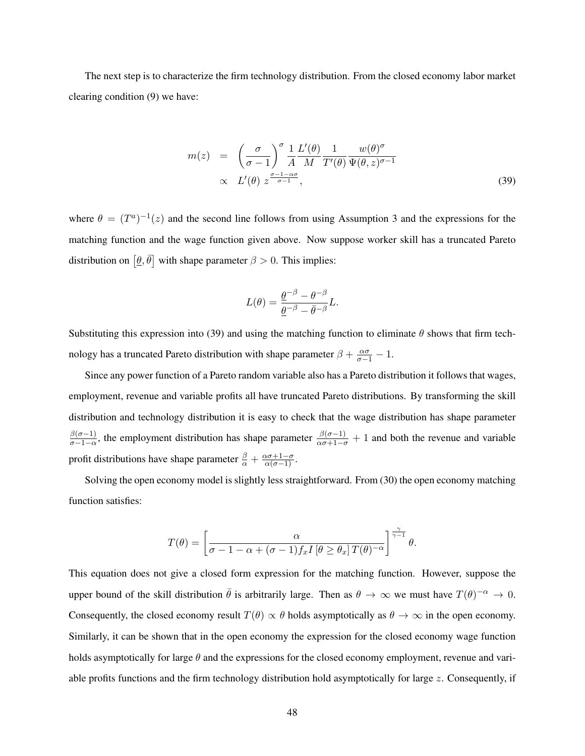The next step is to characterize the firm technology distribution. From the closed economy labor market clearing condition (9) we have:

$$
m(z) = \left(\frac{\sigma}{\sigma - 1}\right)^{\sigma} \frac{1}{A} \frac{L'(\theta)}{M} \frac{1}{T'(\theta)} \frac{w(\theta)^{\sigma}}{\Psi(\theta, z)^{\sigma - 1}} \propto L'(\theta) z^{\frac{\sigma - 1 - \alpha \sigma}{\sigma - 1}},
$$
\n(39)

where  $\theta = (T^a)^{-1}(z)$  and the second line follows from using Assumption 3 and the expressions for the matching function and the wage function given above. Now suppose worker skill has a truncated Pareto distribution on  $\left[\underline{\theta}, \overline{\theta}\right]$  with shape parameter  $\beta > 0$ . This implies:

$$
L(\theta) = \frac{\underline{\theta}^{-\beta} - \theta^{-\beta}}{\underline{\theta}^{-\beta} - \bar{\theta}^{-\beta}}L.
$$

Substituting this expression into (39) and using the matching function to eliminate  $\theta$  shows that firm technology has a truncated Pareto distribution with shape parameter  $\beta + \frac{\alpha \sigma}{\sigma - 1} - 1$ .

Since any power function of a Pareto random variable also has a Pareto distribution it follows that wages, employment, revenue and variable profits all have truncated Pareto distributions. By transforming the skill distribution and technology distribution it is easy to check that the wage distribution has shape parameter  $\beta(\sigma-1)$  $\frac{\beta(\sigma-1)}{\sigma-1-\alpha}$ , the employment distribution has shape parameter  $\frac{\beta(\sigma-1)}{\alpha\sigma+1-\sigma}+1$  and both the revenue and variable profit distributions have shape parameter  $\frac{\beta}{\alpha} + \frac{\alpha \sigma + 1 - \sigma}{\alpha(\sigma - 1)}$ .

Solving the open economy model is slightly less straightforward. From (30) the open economy matching function satisfies:

$$
T(\theta) = \left[\frac{\alpha}{\sigma - 1 - \alpha + (\sigma - 1)f_x I\left[\theta \geq \theta_x\right] T(\theta)^{-\alpha}}\right]^{\frac{\gamma}{\gamma - 1}} \theta.
$$

This equation does not give a closed form expression for the matching function. However, suppose the upper bound of the skill distribution  $\bar{\theta}$  is arbitrarily large. Then as  $\theta \to \infty$  we must have  $T(\theta)^{-\alpha} \to 0$ . Consequently, the closed economy result  $T(\theta) \propto \theta$  holds asymptotically as  $\theta \to \infty$  in the open economy. Similarly, it can be shown that in the open economy the expression for the closed economy wage function holds asymptotically for large  $\theta$  and the expressions for the closed economy employment, revenue and variable profits functions and the firm technology distribution hold asymptotically for large  $z$ . Consequently, if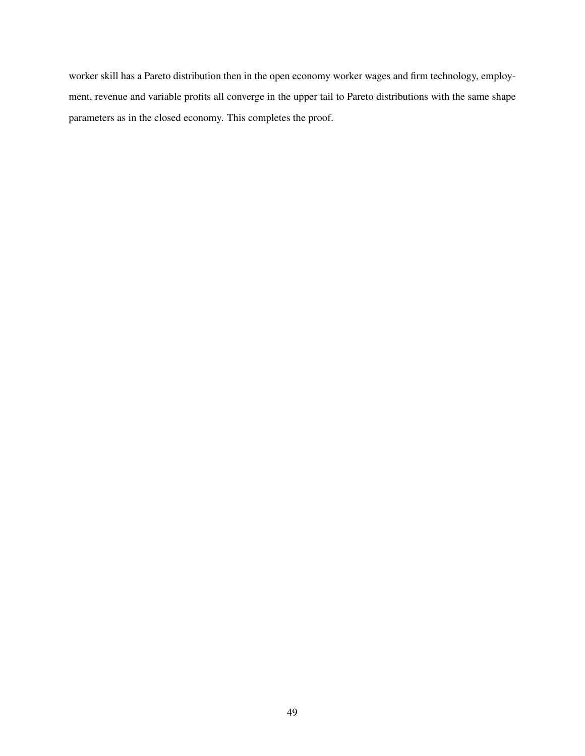worker skill has a Pareto distribution then in the open economy worker wages and firm technology, employment, revenue and variable profits all converge in the upper tail to Pareto distributions with the same shape parameters as in the closed economy. This completes the proof.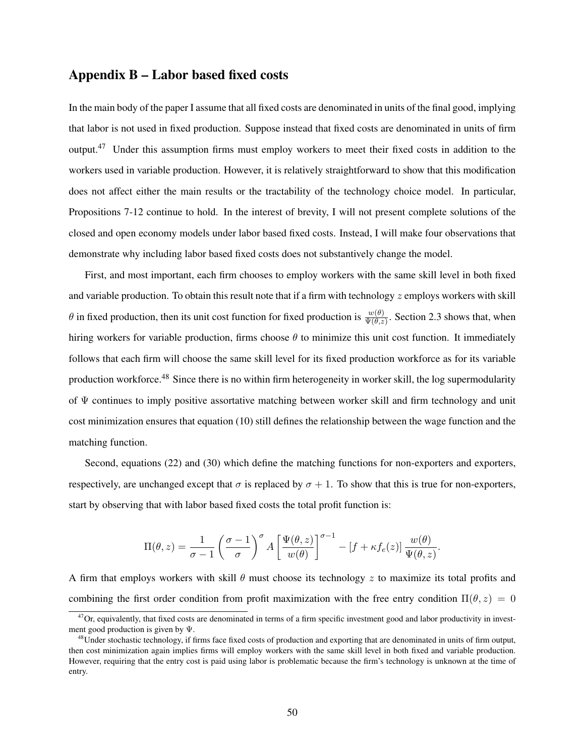## Appendix B – Labor based fixed costs

In the main body of the paper I assume that all fixed costs are denominated in units of the final good, implying that labor is not used in fixed production. Suppose instead that fixed costs are denominated in units of firm output.<sup>47</sup> Under this assumption firms must employ workers to meet their fixed costs in addition to the workers used in variable production. However, it is relatively straightforward to show that this modification does not affect either the main results or the tractability of the technology choice model. In particular, Propositions 7-12 continue to hold. In the interest of brevity, I will not present complete solutions of the closed and open economy models under labor based fixed costs. Instead, I will make four observations that demonstrate why including labor based fixed costs does not substantively change the model.

First, and most important, each firm chooses to employ workers with the same skill level in both fixed and variable production. To obtain this result note that if a firm with technology  $z$  employs workers with skill  $\theta$  in fixed production, then its unit cost function for fixed production is  $\frac{w(\theta)}{\Psi(\theta,z)}$ . Section 2.3 shows that, when hiring workers for variable production, firms choose  $\theta$  to minimize this unit cost function. It immediately follows that each firm will choose the same skill level for its fixed production workforce as for its variable production workforce.<sup>48</sup> Since there is no within firm heterogeneity in worker skill, the log supermodularity of Ψ continues to imply positive assortative matching between worker skill and firm technology and unit cost minimization ensures that equation (10) still defines the relationship between the wage function and the matching function.

Second, equations (22) and (30) which define the matching functions for non-exporters and exporters, respectively, are unchanged except that  $\sigma$  is replaced by  $\sigma + 1$ . To show that this is true for non-exporters, start by observing that with labor based fixed costs the total profit function is:

$$
\Pi(\theta, z) = \frac{1}{\sigma - 1} \left( \frac{\sigma - 1}{\sigma} \right)^{\sigma} A \left[ \frac{\Psi(\theta, z)}{w(\theta)} \right]^{\sigma - 1} - \left[ f + \kappa f_e(z) \right] \frac{w(\theta)}{\Psi(\theta, z)}.
$$

A firm that employs workers with skill  $\theta$  must choose its technology z to maximize its total profits and combining the first order condition from profit maximization with the free entry condition  $\Pi(\theta, z) = 0$ 

 $47$ Or, equivalently, that fixed costs are denominated in terms of a firm specific investment good and labor productivity in investment good production is given by Ψ.

<sup>&</sup>lt;sup>48</sup>Under stochastic technology, if firms face fixed costs of production and exporting that are denominated in units of firm output, then cost minimization again implies firms will employ workers with the same skill level in both fixed and variable production. However, requiring that the entry cost is paid using labor is problematic because the firm's technology is unknown at the time of entry.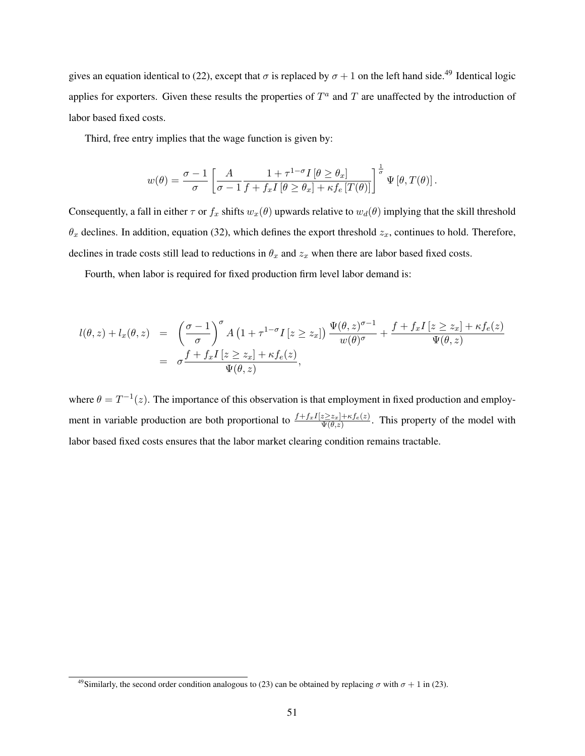gives an equation identical to (22), except that  $\sigma$  is replaced by  $\sigma + 1$  on the left hand side.<sup>49</sup> Identical logic applies for exporters. Given these results the properties of  $T^a$  and  $T$  are unaffected by the introduction of labor based fixed costs.

Third, free entry implies that the wage function is given by:

$$
w(\theta) = \frac{\sigma - 1}{\sigma} \left[ \frac{A}{\sigma - 1} \frac{1 + \tau^{1-\sigma} I \left[ \theta \ge \theta_x \right]}{f + f_x I \left[ \theta \ge \theta_x \right] + \kappa f_e \left[ T(\theta) \right]} \right]^{\frac{1}{\sigma}} \Psi \left[ \theta, T(\theta) \right].
$$

Consequently, a fall in either  $\tau$  or  $f_x$  shifts  $w_x(\theta)$  upwards relative to  $w_d(\theta)$  implying that the skill threshold  $\theta_x$  declines. In addition, equation (32), which defines the export threshold  $z_x$ , continues to hold. Therefore, declines in trade costs still lead to reductions in  $\theta_x$  and  $z_x$  when there are labor based fixed costs.

Fourth, when labor is required for fixed production firm level labor demand is:

$$
l(\theta, z) + l_x(\theta, z) = \left(\frac{\sigma - 1}{\sigma}\right)^{\sigma} A \left(1 + \tau^{1 - \sigma} I \left[z \geq z_x\right]\right) \frac{\Psi(\theta, z)^{\sigma - 1}}{w(\theta)^{\sigma}} + \frac{f + f_x I \left[z \geq z_x\right] + \kappa f_e(z)}{\Psi(\theta, z)}
$$
  
= 
$$
\sigma \frac{f + f_x I \left[z \geq z_x\right] + \kappa f_e(z)}{\Psi(\theta, z)},
$$

where  $\theta = T^{-1}(z)$ . The importance of this observation is that employment in fixed production and employment in variable production are both proportional to  $\frac{f+f_xI[z\geq z_x]+\kappa f_e(z)}{\Psi(\theta,z)}$ . This property of the model with labor based fixed costs ensures that the labor market clearing condition remains tractable.

<sup>&</sup>lt;sup>49</sup>Similarly, the second order condition analogous to (23) can be obtained by replacing  $\sigma$  with  $\sigma + 1$  in (23).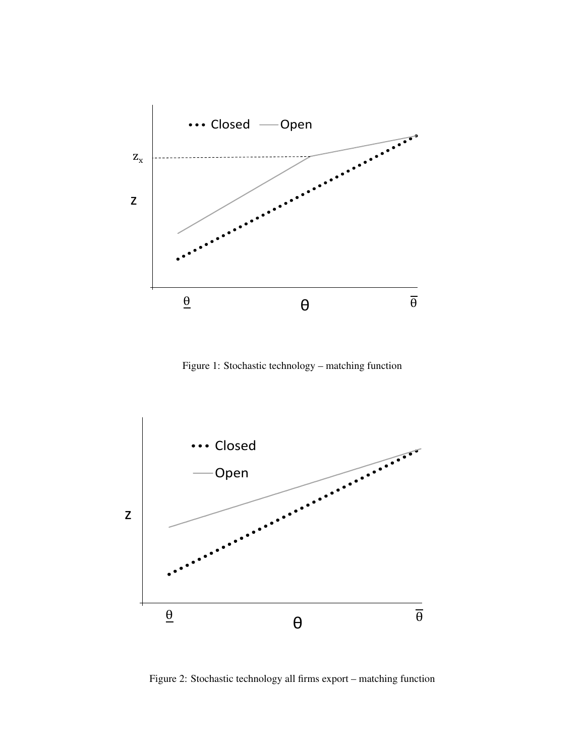

Figure 1: Stochastic technology – matching function



Figure 2: Stochastic technology all firms export – matching function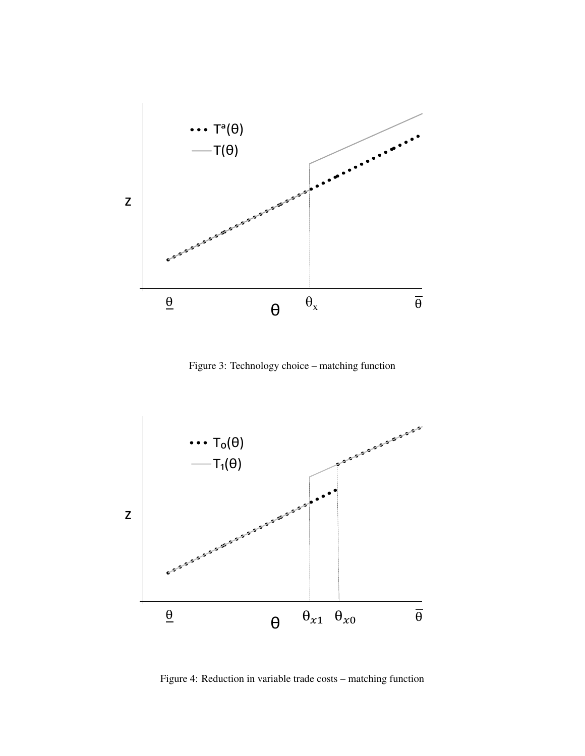

Figure 3: Technology choice – matching function



Figure 4: Reduction in variable trade costs – matching function